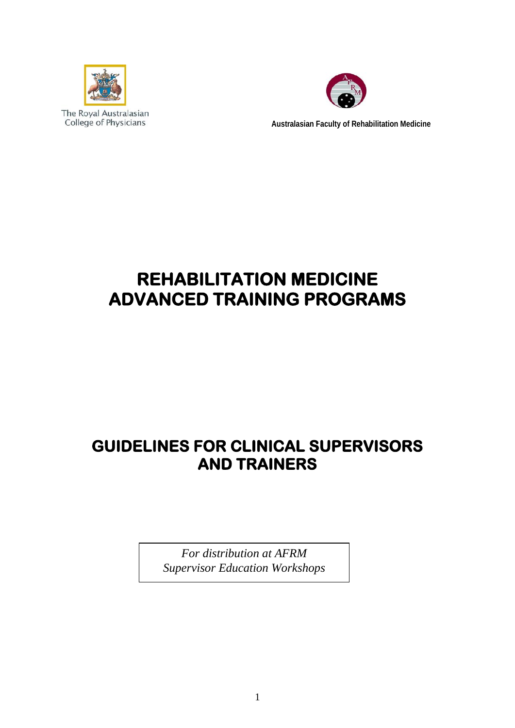

The Royal Australasian College of Physicians



**Australasian Faculty of Rehabilitation Medicine**

# **REHABILITATION MEDICINE ADVANCED TRAINING PROGRAMS**

## **GUIDELINES FOR CLINICAL SUPERVISORS AND TRAINERS**

*For distribution at AFRM Supervisor Education Workshops*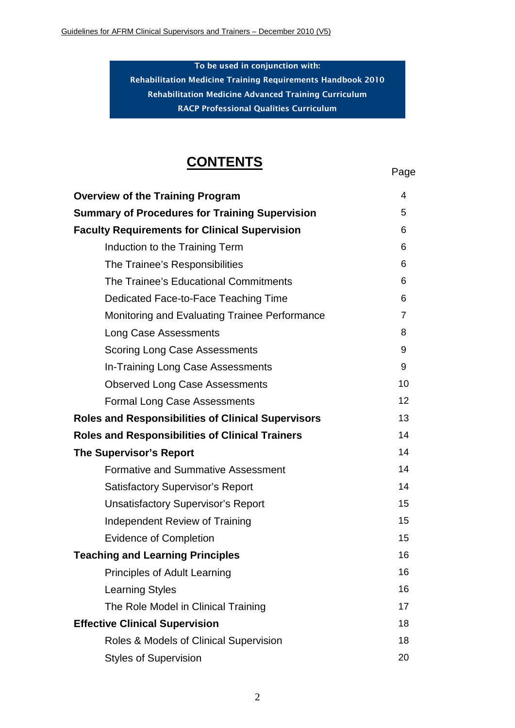To be used in conjunction with: Rehabilitation Medicine Training Requirements Handbook 2010 Rehabilitation Medicine Advanced Training Curriculum RACP Professional Qualities Curriculum

## **CONTENTS**

Page

| <b>Overview of the Training Program</b>                   | 4              |
|-----------------------------------------------------------|----------------|
| <b>Summary of Procedures for Training Supervision</b>     | 5              |
| <b>Faculty Requirements for Clinical Supervision</b>      | 6              |
| Induction to the Training Term                            | 6              |
| The Trainee's Responsibilities                            | 6              |
| The Trainee's Educational Commitments                     | 6              |
| Dedicated Face-to-Face Teaching Time                      | 6              |
| Monitoring and Evaluating Trainee Performance             | $\overline{7}$ |
| Long Case Assessments                                     | 8              |
| <b>Scoring Long Case Assessments</b>                      | 9              |
| In-Training Long Case Assessments                         | 9              |
| <b>Observed Long Case Assessments</b>                     | 10             |
| <b>Formal Long Case Assessments</b>                       | 12             |
| <b>Roles and Responsibilities of Clinical Supervisors</b> | 13             |
| <b>Roles and Responsibilities of Clinical Trainers</b>    | 14             |
| <b>The Supervisor's Report</b>                            | 14             |
| <b>Formative and Summative Assessment</b>                 | 14             |
| <b>Satisfactory Supervisor's Report</b>                   | 14             |
| <b>Unsatisfactory Supervisor's Report</b>                 | 15             |
| Independent Review of Training                            | 15             |
| <b>Evidence of Completion</b>                             | 15             |
| <b>Teaching and Learning Principles</b>                   | 16             |
| <b>Principles of Adult Learning</b>                       | 16             |
| <b>Learning Styles</b>                                    | 16             |
| The Role Model in Clinical Training                       | 17             |
| <b>Effective Clinical Supervision</b>                     | 18             |
| Roles & Models of Clinical Supervision                    | 18             |
| <b>Styles of Supervision</b>                              | 20             |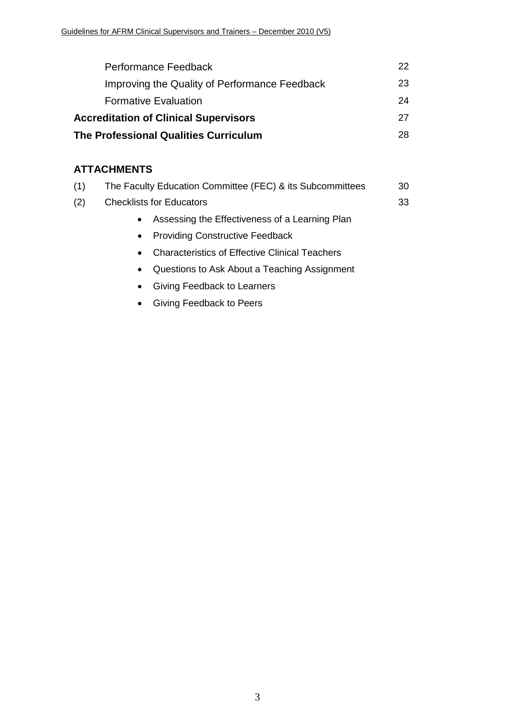| Performance Feedback                          | 22 |
|-----------------------------------------------|----|
| Improving the Quality of Performance Feedback | 23 |
| <b>Formative Evaluation</b>                   | 24 |
| <b>Accreditation of Clinical Supervisors</b>  | 27 |
| <b>The Professional Qualities Curriculum</b>  | 28 |

## **ATTACHMENTS**

| (1) | The Faculty Education Committee (FEC) & its Subcommittees | 30 |
|-----|-----------------------------------------------------------|----|
| (2) | <b>Checklists for Educators</b>                           | 33 |

- Assessing the Effectiveness of a Learning Plan
- Providing Constructive Feedback
- Characteristics of Effective Clinical Teachers
- Questions to Ask About a Teaching Assignment
- Giving Feedback to Learners
- Giving Feedback to Peers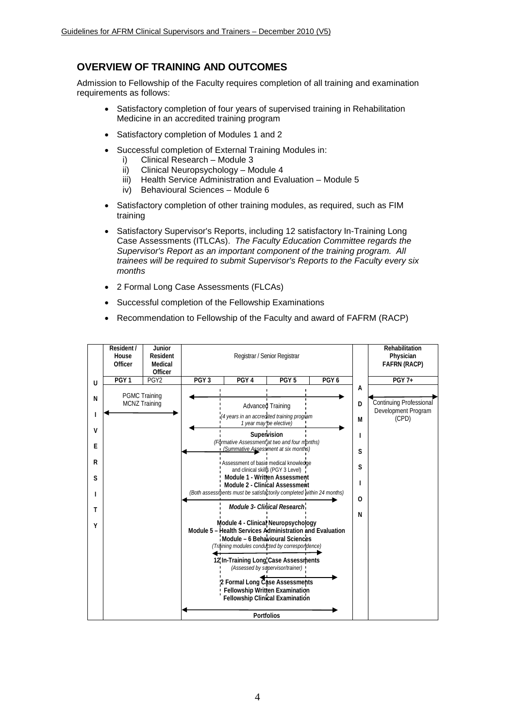## **OVERVIEW OF TRAINING AND OUTCOMES**

Admission to Fellowship of the Faculty requires completion of all training and examination requirements as follows:

- Satisfactory completion of four years of supervised training in Rehabilitation Medicine in an accredited training program
- Satisfactory completion of Modules 1 and 2
- Successful completion of External Training Modules in:<br>
i) Clinical Research Module 3
	- Clinical Research Module 3
	- ii) Clinical Neuropsychology Module 4<br>iii) Health Service Administration and Ev
	- Health Service Administration and Evaluation Module 5
	- iv) Behavioural Sciences Module 6
- Satisfactory completion of other training modules, as required, such as FIM training
- Satisfactory Supervisor's Reports, including 12 satisfactory In-Training Long Case Assessments (ITLCAs). *The Faculty Education Committee regards the Supervisor's Report as an important component of the training program. All trainees will be required to submit Supervisor's Reports to the Faculty every six months*
- 2 Formal Long Case Assessments (FLCAs)
- Successful completion of the Fellowship Examinations
- Recommendation to Fellowship of the Faculty and award of FAFRM (RACP)

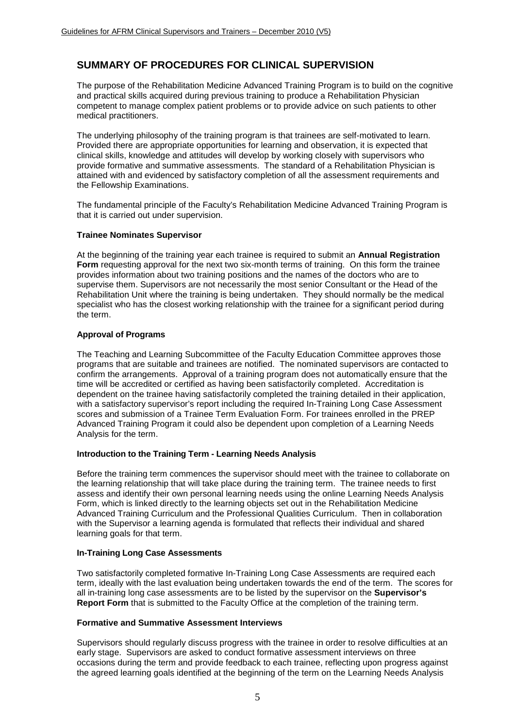## **SUMMARY OF PROCEDURES FOR CLINICAL SUPERVISION**

The purpose of the Rehabilitation Medicine Advanced Training Program is to build on the cognitive and practical skills acquired during previous training to produce a Rehabilitation Physician competent to manage complex patient problems or to provide advice on such patients to other medical practitioners.

The underlying philosophy of the training program is that trainees are self-motivated to learn. Provided there are appropriate opportunities for learning and observation, it is expected that clinical skills, knowledge and attitudes will develop by working closely with supervisors who provide formative and summative assessments. The standard of a Rehabilitation Physician is attained with and evidenced by satisfactory completion of all the assessment requirements and the Fellowship Examinations.

The fundamental principle of the Faculty's Rehabilitation Medicine Advanced Training Program is that it is carried out under supervision.

#### **Trainee Nominates Supervisor**

At the beginning of the training year each trainee is required to submit an **Annual Registration Form** requesting approval for the next two six-month terms of training. On this form the trainee provides information about two training positions and the names of the doctors who are to supervise them. Supervisors are not necessarily the most senior Consultant or the Head of the Rehabilitation Unit where the training is being undertaken. They should normally be the medical specialist who has the closest working relationship with the trainee for a significant period during the term.

#### **Approval of Programs**

The Teaching and Learning Subcommittee of the Faculty Education Committee approves those programs that are suitable and trainees are notified. The nominated supervisors are contacted to confirm the arrangements. Approval of a training program does not automatically ensure that the time will be accredited or certified as having been satisfactorily completed. Accreditation is dependent on the trainee having satisfactorily completed the training detailed in their application, with a satisfactory supervisor's report including the required In-Training Long Case Assessment scores and submission of a Trainee Term Evaluation Form. For trainees enrolled in the PREP Advanced Training Program it could also be dependent upon completion of a Learning Needs Analysis for the term.

#### **Introduction to the Training Term - Learning Needs Analysis**

Before the training term commences the supervisor should meet with the trainee to collaborate on the learning relationship that will take place during the training term. The trainee needs to first assess and identify their own personal learning needs using the online Learning Needs Analysis Form, which is linked directly to the learning objects set out in the Rehabilitation Medicine Advanced Training Curriculum and the Professional Qualities Curriculum. Then in collaboration with the Supervisor a learning agenda is formulated that reflects their individual and shared learning goals for that term.

#### **In-Training Long Case Assessments**

Two satisfactorily completed formative In-Training Long Case Assessments are required each term, ideally with the last evaluation being undertaken towards the end of the term. The scores for all in-training long case assessments are to be listed by the supervisor on the **Supervisor's Report Form** that is submitted to the Faculty Office at the completion of the training term.

#### **Formative and Summative Assessment Interviews**

Supervisors should regularly discuss progress with the trainee in order to resolve difficulties at an early stage. Supervisors are asked to conduct formative assessment interviews on three occasions during the term and provide feedback to each trainee, reflecting upon progress against the agreed learning goals identified at the beginning of the term on the Learning Needs Analysis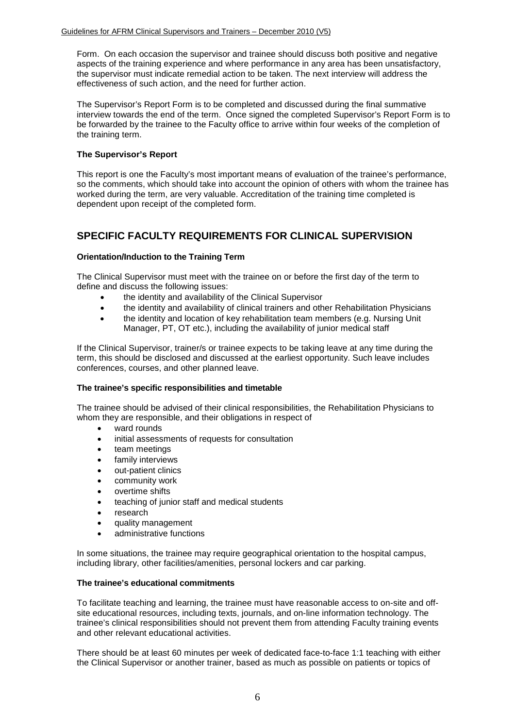Form. On each occasion the supervisor and trainee should discuss both positive and negative aspects of the training experience and where performance in any area has been unsatisfactory, the supervisor must indicate remedial action to be taken. The next interview will address the effectiveness of such action, and the need for further action.

The Supervisor's Report Form is to be completed and discussed during the final summative interview towards the end of the term. Once signed the completed Supervisor's Report Form is to be forwarded by the trainee to the Faculty office to arrive within four weeks of the completion of the training term.

#### **The Supervisor's Report**

This report is one the Faculty's most important means of evaluation of the trainee's performance, so the comments, which should take into account the opinion of others with whom the trainee has worked during the term, are very valuable. Accreditation of the training time completed is dependent upon receipt of the completed form.

## **SPECIFIC FACULTY REQUIREMENTS FOR CLINICAL SUPERVISION**

#### **Orientation/Induction to the Training Term**

The Clinical Supervisor must meet with the trainee on or before the first day of the term to define and discuss the following issues:

- the identity and availability of the Clinical Supervisor
- the identity and availability of clinical trainers and other Rehabilitation Physicians
- the identity and location of key rehabilitation team members (e.g. Nursing Unit Manager, PT, OT etc.), including the availability of junior medical staff

If the Clinical Supervisor, trainer/s or trainee expects to be taking leave at any time during the term, this should be disclosed and discussed at the earliest opportunity. Such leave includes conferences, courses, and other planned leave.

#### **The trainee's specific responsibilities and timetable**

The trainee should be advised of their clinical responsibilities, the Rehabilitation Physicians to whom they are responsible, and their obligations in respect of

- ward rounds
- initial assessments of requests for consultation
- team meetings
- family interviews
- out-patient clinics
- community work
- overtime shifts
- teaching of junior staff and medical students
- **research**
- quality management
- administrative functions

In some situations, the trainee may require geographical orientation to the hospital campus, including library, other facilities/amenities, personal lockers and car parking.

#### **The trainee's educational commitments**

To facilitate teaching and learning, the trainee must have reasonable access to on-site and offsite educational resources, including texts, journals, and on-line information technology. The trainee's clinical responsibilities should not prevent them from attending Faculty training events and other relevant educational activities.

There should be at least 60 minutes per week of dedicated face-to-face 1:1 teaching with either the Clinical Supervisor or another trainer, based as much as possible on patients or topics of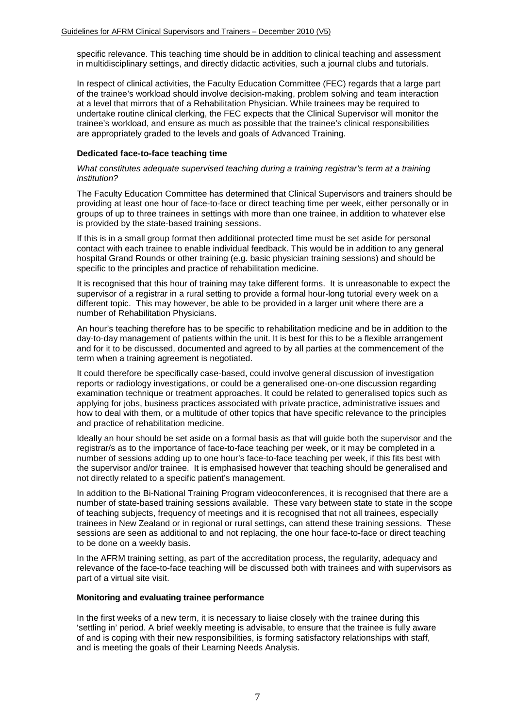specific relevance. This teaching time should be in addition to clinical teaching and assessment in multidisciplinary settings, and directly didactic activities, such a journal clubs and tutorials.

In respect of clinical activities, the Faculty Education Committee (FEC) regards that a large part of the trainee's workload should involve decision-making, problem solving and team interaction at a level that mirrors that of a Rehabilitation Physician. While trainees may be required to undertake routine clinical clerking, the FEC expects that the Clinical Supervisor will monitor the trainee's workload, and ensure as much as possible that the trainee's clinical responsibilities are appropriately graded to the levels and goals of Advanced Training.

#### **Dedicated face-to-face teaching time**

#### *What constitutes adequate supervised teaching during a training registrar's term at a training institution?*

The Faculty Education Committee has determined that Clinical Supervisors and trainers should be providing at least one hour of face-to-face or direct teaching time per week, either personally or in groups of up to three trainees in settings with more than one trainee, in addition to whatever else is provided by the state-based training sessions.

If this is in a small group format then additional protected time must be set aside for personal contact with each trainee to enable individual feedback. This would be in addition to any general hospital Grand Rounds or other training (e.g. basic physician training sessions) and should be specific to the principles and practice of rehabilitation medicine.

It is recognised that this hour of training may take different forms. It is unreasonable to expect the supervisor of a registrar in a rural setting to provide a formal hour-long tutorial every week on a different topic. This may however, be able to be provided in a larger unit where there are a number of Rehabilitation Physicians.

An hour's teaching therefore has to be specific to rehabilitation medicine and be in addition to the day-to-day management of patients within the unit. It is best for this to be a flexible arrangement and for it to be discussed, documented and agreed to by all parties at the commencement of the term when a training agreement is negotiated.

It could therefore be specifically case-based, could involve general discussion of investigation reports or radiology investigations, or could be a generalised one-on-one discussion regarding examination technique or treatment approaches. It could be related to generalised topics such as applying for jobs, business practices associated with private practice, administrative issues and how to deal with them, or a multitude of other topics that have specific relevance to the principles and practice of rehabilitation medicine.

Ideally an hour should be set aside on a formal basis as that will guide both the supervisor and the registrar/s as to the importance of face-to-face teaching per week, or it may be completed in a number of sessions adding up to one hour's face-to-face teaching per week, if this fits best with the supervisor and/or trainee. It is emphasised however that teaching should be generalised and not directly related to a specific patient's management.

In addition to the Bi-National Training Program videoconferences, it is recognised that there are a number of state-based training sessions available. These vary between state to state in the scope of teaching subjects, frequency of meetings and it is recognised that not all trainees, especially trainees in New Zealand or in regional or rural settings, can attend these training sessions. These sessions are seen as additional to and not replacing, the one hour face-to-face or direct teaching to be done on a weekly basis.

In the AFRM training setting, as part of the accreditation process, the regularity, adequacy and relevance of the face-to-face teaching will be discussed both with trainees and with supervisors as part of a virtual site visit.

#### **Monitoring and evaluating trainee performance**

In the first weeks of a new term, it is necessary to liaise closely with the trainee during this 'settling in' period. A brief weekly meeting is advisable, to ensure that the trainee is fully aware of and is coping with their new responsibilities, is forming satisfactory relationships with staff, and is meeting the goals of their Learning Needs Analysis.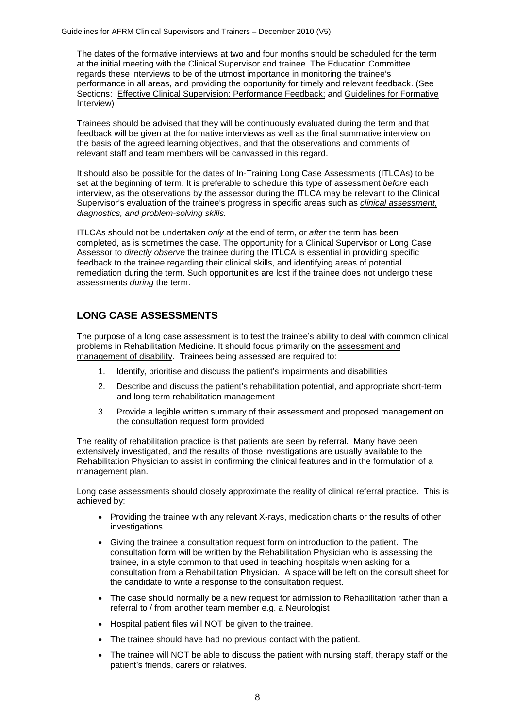The dates of the formative interviews at two and four months should be scheduled for the term at the initial meeting with the Clinical Supervisor and trainee. The Education Committee regards these interviews to be of the utmost importance in monitoring the trainee's performance in all areas, and providing the opportunity for timely and relevant feedback. (See Sections: Effective Clinical Supervision: Performance Feedback; and Guidelines for Formative Interview)

Trainees should be advised that they will be continuously evaluated during the term and that feedback will be given at the formative interviews as well as the final summative interview on the basis of the agreed learning objectives, and that the observations and comments of relevant staff and team members will be canvassed in this regard.

It should also be possible for the dates of In-Training Long Case Assessments (ITLCAs) to be set at the beginning of term. It is preferable to schedule this type of assessment *before* each interview, as the observations by the assessor during the ITLCA may be relevant to the Clinical Supervisor's evaluation of the trainee's progress in specific areas such as *clinical assessment, diagnostics, and problem-solving skills.*

ITLCAs should not be undertaken *only* at the end of term, or *after* the term has been completed, as is sometimes the case. The opportunity for a Clinical Supervisor or Long Case Assessor to *directly observe* the trainee during the ITLCA is essential in providing specific feedback to the trainee regarding their clinical skills, and identifying areas of potential remediation during the term. Such opportunities are lost if the trainee does not undergo these assessments *during* the term.

## **LONG CASE ASSESSMENTS**

The purpose of a long case assessment is to test the trainee's ability to deal with common clinical problems in Rehabilitation Medicine. It should focus primarily on the assessment and management of disability. Trainees being assessed are required to:

- 1. Identify, prioritise and discuss the patient's impairments and disabilities
- 2. Describe and discuss the patient's rehabilitation potential, and appropriate short-term and long-term rehabilitation management
- 3. Provide a legible written summary of their assessment and proposed management on the consultation request form provided

The reality of rehabilitation practice is that patients are seen by referral. Many have been extensively investigated, and the results of those investigations are usually available to the Rehabilitation Physician to assist in confirming the clinical features and in the formulation of a management plan.

Long case assessments should closely approximate the reality of clinical referral practice. This is achieved by:

- Providing the trainee with any relevant X-rays, medication charts or the results of other investigations.
- Giving the trainee a consultation request form on introduction to the patient. The consultation form will be written by the Rehabilitation Physician who is assessing the trainee, in a style common to that used in teaching hospitals when asking for a consultation from a Rehabilitation Physician. A space will be left on the consult sheet for the candidate to write a response to the consultation request.
- The case should normally be a new request for admission to Rehabilitation rather than a referral to / from another team member e.g. a Neurologist
- Hospital patient files will NOT be given to the trainee.
- The trainee should have had no previous contact with the patient.
- The trainee will NOT be able to discuss the patient with nursing staff, therapy staff or the patient's friends, carers or relatives.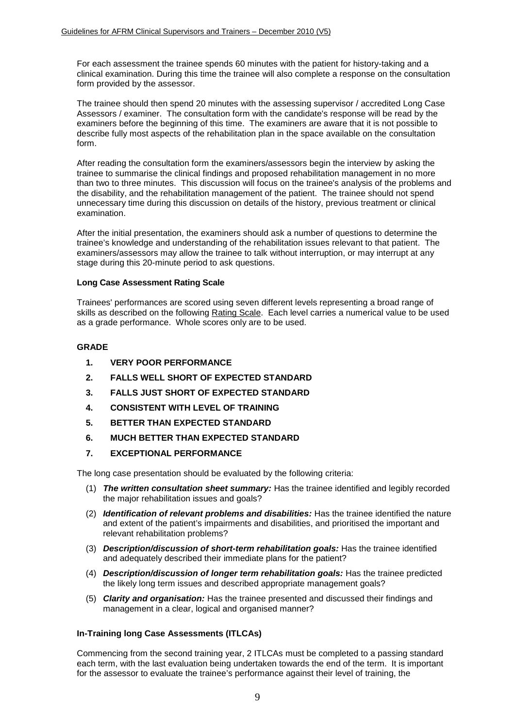For each assessment the trainee spends 60 minutes with the patient for history-taking and a clinical examination. During this time the trainee will also complete a response on the consultation form provided by the assessor.

The trainee should then spend 20 minutes with the assessing supervisor / accredited Long Case Assessors / examiner. The consultation form with the candidate's response will be read by the examiners before the beginning of this time. The examiners are aware that it is not possible to describe fully most aspects of the rehabilitation plan in the space available on the consultation form.

After reading the consultation form the examiners/assessors begin the interview by asking the trainee to summarise the clinical findings and proposed rehabilitation management in no more than two to three minutes. This discussion will focus on the trainee's analysis of the problems and the disability, and the rehabilitation management of the patient. The trainee should not spend unnecessary time during this discussion on details of the history, previous treatment or clinical examination.

After the initial presentation, the examiners should ask a number of questions to determine the trainee's knowledge and understanding of the rehabilitation issues relevant to that patient. The examiners/assessors may allow the trainee to talk without interruption, or may interrupt at any stage during this 20-minute period to ask questions.

#### **Long Case Assessment Rating Scale**

Trainees' performances are scored using seven different levels representing a broad range of skills as described on the following Rating Scale. Each level carries a numerical value to be used as a grade performance. Whole scores only are to be used.

#### **GRADE**

- **1. VERY POOR PERFORMANCE**
- **2. FALLS WELL SHORT OF EXPECTED STANDARD**
- **3. FALLS JUST SHORT OF EXPECTED STANDARD**
- **4. CONSISTENT WITH LEVEL OF TRAINING**
- **5. BETTER THAN EXPECTED STANDARD**
- **6. MUCH BETTER THAN EXPECTED STANDARD**
- **7. EXCEPTIONAL PERFORMANCE**

The long case presentation should be evaluated by the following criteria:

- (1) *The written consultation sheet summary:* Has the trainee identified and legibly recorded the major rehabilitation issues and goals?
- (2) *Identification of relevant problems and disabilities:* Has the trainee identified the nature and extent of the patient's impairments and disabilities, and prioritised the important and relevant rehabilitation problems?
- (3) *Description/discussion of short-term rehabilitation goals:* Has the trainee identified and adequately described their immediate plans for the patient?
- (4) *Description/discussion of longer term rehabilitation goals:* Has the trainee predicted the likely long term issues and described appropriate management goals?
- (5) *Clarity and organisation:* Has the trainee presented and discussed their findings and management in a clear, logical and organised manner?

#### **In-Training long Case Assessments (ITLCAs)**

Commencing from the second training year, 2 ITLCAs must be completed to a passing standard each term, with the last evaluation being undertaken towards the end of the term. It is important for the assessor to evaluate the trainee's performance against their level of training, the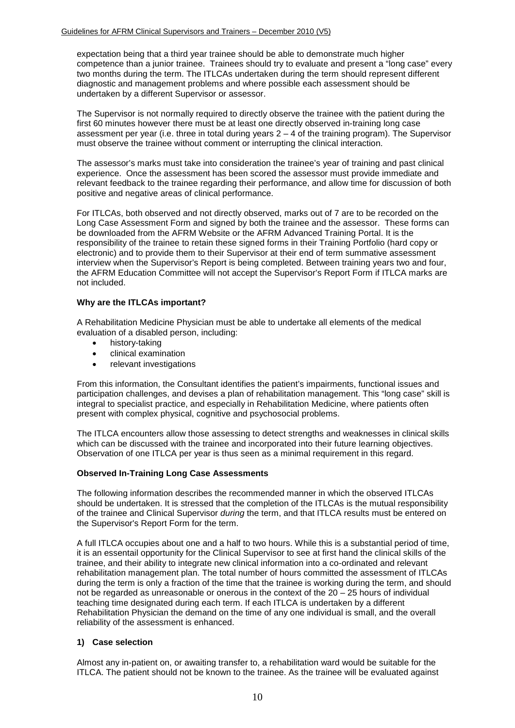expectation being that a third year trainee should be able to demonstrate much higher competence than a junior trainee. Trainees should try to evaluate and present a "long case" every two months during the term. The ITLCAs undertaken during the term should represent different diagnostic and management problems and where possible each assessment should be undertaken by a different Supervisor or assessor.

The Supervisor is not normally required to directly observe the trainee with the patient during the first 60 minutes however there must be at least one directly observed in-training long case assessment per year (i.e. three in total during years  $2 - 4$  of the training program). The Supervisor must observe the trainee without comment or interrupting the clinical interaction.

The assessor's marks must take into consideration the trainee's year of training and past clinical experience. Once the assessment has been scored the assessor must provide immediate and relevant feedback to the trainee regarding their performance, and allow time for discussion of both positive and negative areas of clinical performance.

For ITLCAs, both observed and not directly observed, marks out of 7 are to be recorded on the Long Case Assessment Form and signed by both the trainee and the assessor. These forms can be downloaded from the AFRM Website or the AFRM Advanced Training Portal. It is the responsibility of the trainee to retain these signed forms in their Training Portfolio (hard copy or electronic) and to provide them to their Supervisor at their end of term summative assessment interview when the Supervisor's Report is being completed. Between training years two and four, the AFRM Education Committee will not accept the Supervisor's Report Form if ITLCA marks are not included.

#### **Why are the ITLCAs important?**

A Rehabilitation Medicine Physician must be able to undertake all elements of the medical evaluation of a disabled person, including:

- history-taking
- clinical examination
- relevant investigations

From this information, the Consultant identifies the patient's impairments, functional issues and participation challenges, and devises a plan of rehabilitation management. This "long case" skill is integral to specialist practice, and especially in Rehabilitation Medicine, where patients often present with complex physical, cognitive and psychosocial problems.

The ITLCA encounters allow those assessing to detect strengths and weaknesses in clinical skills which can be discussed with the trainee and incorporated into their future learning objectives. Observation of one ITLCA per year is thus seen as a minimal requirement in this regard.

#### **Observed In-Training Long Case Assessments**

The following information describes the recommended manner in which the observed ITLCAs should be undertaken. It is stressed that the completion of the ITLCAs is the mutual responsibility of the trainee and Clinical Supervisor *during* the term, and that ITLCA results must be entered on the Supervisor's Report Form for the term.

A full ITLCA occupies about one and a half to two hours. While this is a substantial period of time, it is an essentail opportunity for the Clinical Supervisor to see at first hand the clinical skills of the trainee, and their ability to integrate new clinical information into a co-ordinated and relevant rehabilitation management plan. The total number of hours committed the assessment of ITLCAs during the term is only a fraction of the time that the trainee is working during the term, and should not be regarded as unreasonable or onerous in the context of the 20 – 25 hours of individual teaching time designated during each term. If each ITLCA is undertaken by a different Rehabilitation Physician the demand on the time of any one individual is small, and the overall reliability of the assessment is enhanced.

#### **1) Case selection**

Almost any in-patient on, or awaiting transfer to, a rehabilitation ward would be suitable for the ITLCA. The patient should not be known to the trainee. As the trainee will be evaluated against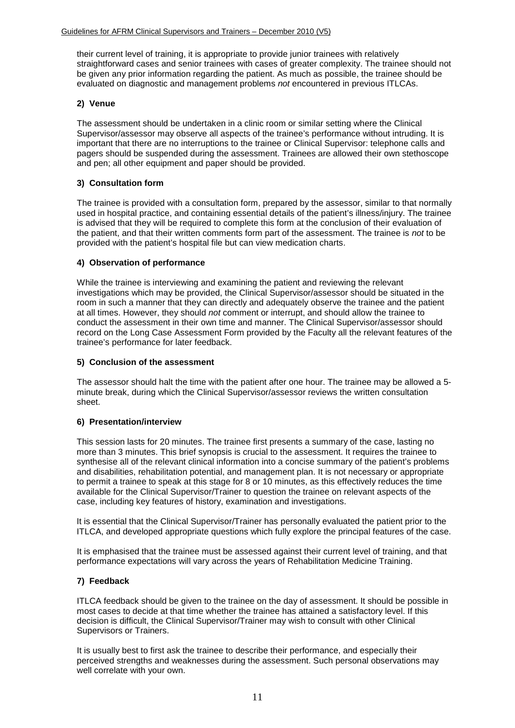their current level of training, it is appropriate to provide junior trainees with relatively straightforward cases and senior trainees with cases of greater complexity. The trainee should not be given any prior information regarding the patient. As much as possible, the trainee should be evaluated on diagnostic and management problems *not* encountered in previous ITLCAs.

#### **2) Venue**

The assessment should be undertaken in a clinic room or similar setting where the Clinical Supervisor/assessor may observe all aspects of the trainee's performance without intruding. It is important that there are no interruptions to the trainee or Clinical Supervisor: telephone calls and pagers should be suspended during the assessment. Trainees are allowed their own stethoscope and pen; all other equipment and paper should be provided.

#### **3) Consultation form**

The trainee is provided with a consultation form, prepared by the assessor, similar to that normally used in hospital practice, and containing essential details of the patient's illness/injury. The trainee is advised that they will be required to complete this form at the conclusion of their evaluation of the patient, and that their written comments form part of the assessment. The trainee is *not* to be provided with the patient's hospital file but can view medication charts.

#### **4) Observation of performance**

While the trainee is interviewing and examining the patient and reviewing the relevant investigations which may be provided, the Clinical Supervisor/assessor should be situated in the room in such a manner that they can directly and adequately observe the trainee and the patient at all times. However, they should *not* comment or interrupt, and should allow the trainee to conduct the assessment in their own time and manner. The Clinical Supervisor/assessor should record on the Long Case Assessment Form provided by the Faculty all the relevant features of the trainee's performance for later feedback.

#### **5) Conclusion of the assessment**

The assessor should halt the time with the patient after one hour. The trainee may be allowed a 5 minute break, during which the Clinical Supervisor/assessor reviews the written consultation sheet.

#### **6) Presentation/interview**

This session lasts for 20 minutes. The trainee first presents a summary of the case, lasting no more than 3 minutes. This brief synopsis is crucial to the assessment. It requires the trainee to synthesise all of the relevant clinical information into a concise summary of the patient's problems and disabilities, rehabilitation potential, and management plan. It is not necessary or appropriate to permit a trainee to speak at this stage for 8 or 10 minutes, as this effectively reduces the time available for the Clinical Supervisor/Trainer to question the trainee on relevant aspects of the case, including key features of history, examination and investigations.

It is essential that the Clinical Supervisor/Trainer has personally evaluated the patient prior to the ITLCA, and developed appropriate questions which fully explore the principal features of the case.

It is emphasised that the trainee must be assessed against their current level of training, and that performance expectations will vary across the years of Rehabilitation Medicine Training.

#### **7) Feedback**

ITLCA feedback should be given to the trainee on the day of assessment. It should be possible in most cases to decide at that time whether the trainee has attained a satisfactory level. If this decision is difficult, the Clinical Supervisor/Trainer may wish to consult with other Clinical Supervisors or Trainers.

It is usually best to first ask the trainee to describe their performance, and especially their perceived strengths and weaknesses during the assessment. Such personal observations may well correlate with your own.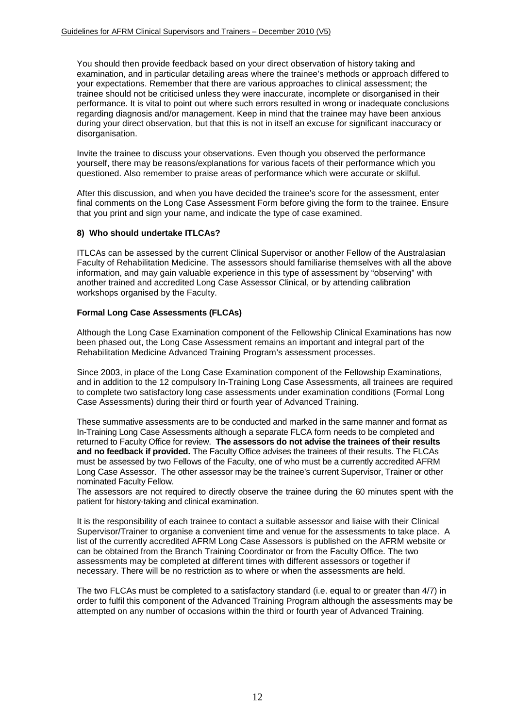You should then provide feedback based on your direct observation of history taking and examination, and in particular detailing areas where the trainee's methods or approach differed to your expectations. Remember that there are various approaches to clinical assessment; the trainee should not be criticised unless they were inaccurate, incomplete or disorganised in their performance. It is vital to point out where such errors resulted in wrong or inadequate conclusions regarding diagnosis and/or management. Keep in mind that the trainee may have been anxious during your direct observation, but that this is not in itself an excuse for significant inaccuracy or disorganisation.

Invite the trainee to discuss your observations. Even though you observed the performance yourself, there may be reasons/explanations for various facets of their performance which you questioned. Also remember to praise areas of performance which were accurate or skilful.

After this discussion, and when you have decided the trainee's score for the assessment, enter final comments on the Long Case Assessment Form before giving the form to the trainee. Ensure that you print and sign your name, and indicate the type of case examined.

#### **8) Who should undertake ITLCAs?**

ITLCAs can be assessed by the current Clinical Supervisor or another Fellow of the Australasian Faculty of Rehabilitation Medicine. The assessors should familiarise themselves with all the above information, and may gain valuable experience in this type of assessment by "observing" with another trained and accredited Long Case Assessor Clinical, or by attending calibration workshops organised by the Faculty.

#### **Formal Long Case Assessments (FLCAs)**

Although the Long Case Examination component of the Fellowship Clinical Examinations has now been phased out, the Long Case Assessment remains an important and integral part of the Rehabilitation Medicine Advanced Training Program's assessment processes.

Since 2003, in place of the Long Case Examination component of the Fellowship Examinations, and in addition to the 12 compulsory In-Training Long Case Assessments, all trainees are required to complete two satisfactory long case assessments under examination conditions (Formal Long Case Assessments) during their third or fourth year of Advanced Training.

These summative assessments are to be conducted and marked in the same manner and format as In-Training Long Case Assessments although a separate FLCA form needs to be completed and returned to Faculty Office for review. **The assessors do not advise the trainees of their results and no feedback if provided.** The Faculty Office advises the trainees of their results. The FLCAs must be assessed by two Fellows of the Faculty, one of who must be a currently accredited AFRM Long Case Assessor. The other assessor may be the trainee's current Supervisor, Trainer or other nominated Faculty Fellow.

The assessors are not required to directly observe the trainee during the 60 minutes spent with the patient for history-taking and clinical examination.

It is the responsibility of each trainee to contact a suitable assessor and liaise with their Clinical Supervisor/Trainer to organise a convenient time and venue for the assessments to take place. A list of the currently accredited AFRM Long Case Assessors is published on the AFRM website or can be obtained from the Branch Training Coordinator or from the Faculty Office. The two assessments may be completed at different times with different assessors or together if necessary. There will be no restriction as to where or when the assessments are held.

The two FLCAs must be completed to a satisfactory standard (i.e. equal to or greater than 4/7) in order to fulfil this component of the Advanced Training Program although the assessments may be attempted on any number of occasions within the third or fourth year of Advanced Training.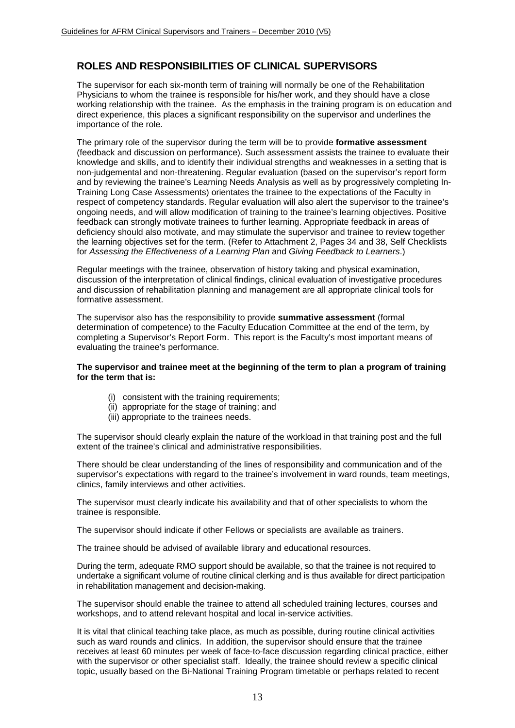## **ROLES AND RESPONSIBILITIES OF CLINICAL SUPERVISORS**

The supervisor for each six-month term of training will normally be one of the Rehabilitation Physicians to whom the trainee is responsible for his/her work, and they should have a close working relationship with the trainee. As the emphasis in the training program is on education and direct experience, this places a significant responsibility on the supervisor and underlines the importance of the role.

The primary role of the supervisor during the term will be to provide **formative assessment** (feedback and discussion on performance). Such assessment assists the trainee to evaluate their knowledge and skills, and to identify their individual strengths and weaknesses in a setting that is non-judgemental and non-threatening. Regular evaluation (based on the supervisor's report form and by reviewing the trainee's Learning Needs Analysis as well as by progressively completing In-Training Long Case Assessments) orientates the trainee to the expectations of the Faculty in respect of competency standards. Regular evaluation will also alert the supervisor to the trainee's ongoing needs, and will allow modification of training to the trainee's learning objectives. Positive feedback can strongly motivate trainees to further learning. Appropriate feedback in areas of deficiency should also motivate, and may stimulate the supervisor and trainee to review together the learning objectives set for the term. (Refer to Attachment 2, Pages 34 and 38, Self Checklists for *Assessing the Effectiveness of a Learning Plan* and *Giving Feedback to Learners*.)

Regular meetings with the trainee, observation of history taking and physical examination, discussion of the interpretation of clinical findings, clinical evaluation of investigative procedures and discussion of rehabilitation planning and management are all appropriate clinical tools for formative assessment.

The supervisor also has the responsibility to provide **summative assessment** (formal determination of competence) to the Faculty Education Committee at the end of the term, by completing a Supervisor's Report Form. This report is the Faculty's most important means of evaluating the trainee's performance.

#### **The supervisor and trainee meet at the beginning of the term to plan a program of training for the term that is:**

- (i) consistent with the training requirements;
- (ii) appropriate for the stage of training; and
- (iii) appropriate to the trainees needs.

The supervisor should clearly explain the nature of the workload in that training post and the full extent of the trainee's clinical and administrative responsibilities.

There should be clear understanding of the lines of responsibility and communication and of the supervisor's expectations with regard to the trainee's involvement in ward rounds, team meetings, clinics, family interviews and other activities.

The supervisor must clearly indicate his availability and that of other specialists to whom the trainee is responsible.

The supervisor should indicate if other Fellows or specialists are available as trainers.

The trainee should be advised of available library and educational resources.

During the term, adequate RMO support should be available, so that the trainee is not required to undertake a significant volume of routine clinical clerking and is thus available for direct participation in rehabilitation management and decision-making.

The supervisor should enable the trainee to attend all scheduled training lectures, courses and workshops, and to attend relevant hospital and local in-service activities.

It is vital that clinical teaching take place, as much as possible, during routine clinical activities such as ward rounds and clinics. In addition, the supervisor should ensure that the trainee receives at least 60 minutes per week of face-to-face discussion regarding clinical practice, either with the supervisor or other specialist staff. Ideally, the trainee should review a specific clinical topic, usually based on the Bi-National Training Program timetable or perhaps related to recent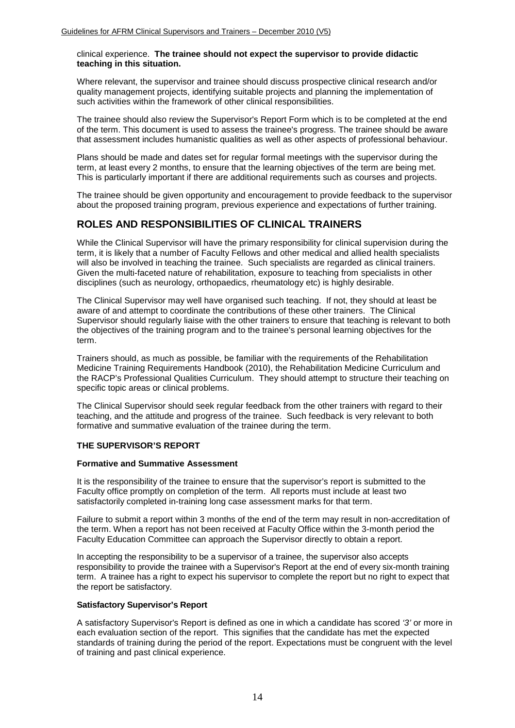#### clinical experience. **The trainee should not expect the supervisor to provide didactic teaching in this situation.**

Where relevant, the supervisor and trainee should discuss prospective clinical research and/or quality management projects, identifying suitable projects and planning the implementation of such activities within the framework of other clinical responsibilities.

The trainee should also review the Supervisor's Report Form which is to be completed at the end of the term. This document is used to assess the trainee's progress. The trainee should be aware that assessment includes humanistic qualities as well as other aspects of professional behaviour.

Plans should be made and dates set for regular formal meetings with the supervisor during the term, at least every 2 months, to ensure that the learning objectives of the term are being met. This is particularly important if there are additional requirements such as courses and projects.

The trainee should be given opportunity and encouragement to provide feedback to the supervisor about the proposed training program, previous experience and expectations of further training.

## **ROLES AND RESPONSIBILITIES OF CLINICAL TRAINERS**

While the Clinical Supervisor will have the primary responsibility for clinical supervision during the term, it is likely that a number of Faculty Fellows and other medical and allied health specialists will also be involved in teaching the trainee. Such specialists are regarded as clinical trainers. Given the multi-faceted nature of rehabilitation, exposure to teaching from specialists in other disciplines (such as neurology, orthopaedics, rheumatology etc) is highly desirable.

The Clinical Supervisor may well have organised such teaching. If not, they should at least be aware of and attempt to coordinate the contributions of these other trainers. The Clinical Supervisor should regularly liaise with the other trainers to ensure that teaching is relevant to both the objectives of the training program and to the trainee's personal learning objectives for the term.

Trainers should, as much as possible, be familiar with the requirements of the Rehabilitation Medicine Training Requirements Handbook (2010), the Rehabilitation Medicine Curriculum and the RACP's Professional Qualities Curriculum. They should attempt to structure their teaching on specific topic areas or clinical problems.

The Clinical Supervisor should seek regular feedback from the other trainers with regard to their teaching, and the attitude and progress of the trainee. Such feedback is very relevant to both formative and summative evaluation of the trainee during the term.

#### **THE SUPERVISOR'S REPORT**

#### **Formative and Summative Assessment**

It is the responsibility of the trainee to ensure that the supervisor's report is submitted to the Faculty office promptly on completion of the term. All reports must include at least two satisfactorily completed in-training long case assessment marks for that term.

Failure to submit a report within 3 months of the end of the term may result in non-accreditation of the term. When a report has not been received at Faculty Office within the 3-month period the Faculty Education Committee can approach the Supervisor directly to obtain a report.

In accepting the responsibility to be a supervisor of a trainee, the supervisor also accepts responsibility to provide the trainee with a Supervisor's Report at the end of every six-month training term. A trainee has a right to expect his supervisor to complete the report but no right to expect that the report be satisfactory.

#### **Satisfactory Supervisor's Report**

A satisfactory Supervisor's Report is defined as one in which a candidate has scored *'3'* or more in each evaluation section of the report. This signifies that the candidate has met the expected standards of training during the period of the report. Expectations must be congruent with the level of training and past clinical experience.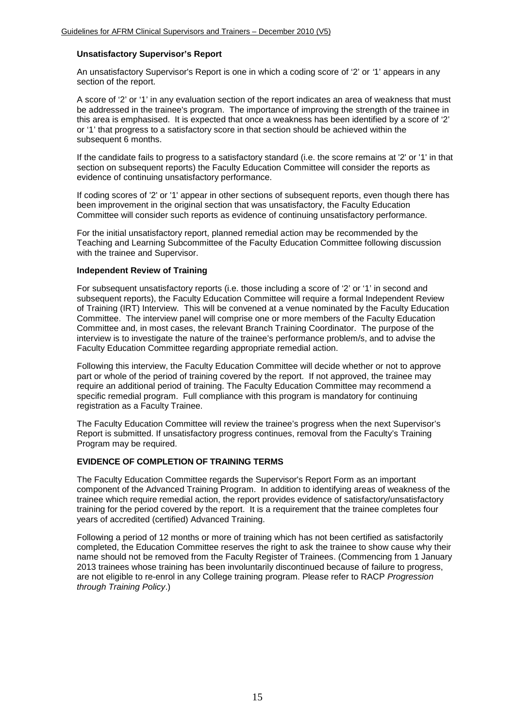#### **Unsatisfactory Supervisor's Report**

An unsatisfactory Supervisor's Report is one in which a coding score of '2' or *'*1' appears in any section of the report.

A score of '2' or '1' in any evaluation section of the report indicates an area of weakness that must be addressed in the trainee's program. The importance of improving the strength of the trainee in this area is emphasised. It is expected that once a weakness has been identified by a score of '2' or '1' that progress to a satisfactory score in that section should be achieved within the subsequent 6 months.

If the candidate fails to progress to a satisfactory standard (i.e. the score remains at '2' or '1' in that section on subsequent reports) the Faculty Education Committee will consider the reports as evidence of continuing unsatisfactory performance.

If coding scores of '2' or '1' appear in other sections of subsequent reports, even though there has been improvement in the original section that was unsatisfactory, the Faculty Education Committee will consider such reports as evidence of continuing unsatisfactory performance.

For the initial unsatisfactory report, planned remedial action may be recommended by the Teaching and Learning Subcommittee of the Faculty Education Committee following discussion with the trainee and Supervisor.

#### **Independent Review of Training**

For subsequent unsatisfactory reports (i.e. those including a score of '2' or '1' in second and subsequent reports), the Faculty Education Committee will require a formal Independent Review of Training (IRT) Interview. This will be convened at a venue nominated by the Faculty Education Committee. The interview panel will comprise one or more members of the Faculty Education Committee and, in most cases, the relevant Branch Training Coordinator. The purpose of the interview is to investigate the nature of the trainee's performance problem/s, and to advise the Faculty Education Committee regarding appropriate remedial action.

Following this interview, the Faculty Education Committee will decide whether or not to approve part or whole of the period of training covered by the report. If not approved, the trainee may require an additional period of training. The Faculty Education Committee may recommend a specific remedial program. Full compliance with this program is mandatory for continuing registration as a Faculty Trainee.

The Faculty Education Committee will review the trainee's progress when the next Supervisor's Report is submitted. If unsatisfactory progress continues, removal from the Faculty's Training Program may be required.

#### **EVIDENCE OF COMPLETION OF TRAINING TERMS**

The Faculty Education Committee regards the Supervisor's Report Form as an important component of the Advanced Training Program. In addition to identifying areas of weakness of the trainee which require remedial action, the report provides evidence of satisfactory/unsatisfactory training for the period covered by the report. It is a requirement that the trainee completes four years of accredited (certified) Advanced Training.

Following a period of 12 months or more of training which has not been certified as satisfactorily completed, the Education Committee reserves the right to ask the trainee to show cause why their name should not be removed from the Faculty Register of Trainees. (Commencing from 1 January 2013 trainees whose training has been involuntarily discontinued because of failure to progress, are not eligible to re-enrol in any College training program. Please refer to RACP *Progression through Training Policy*.)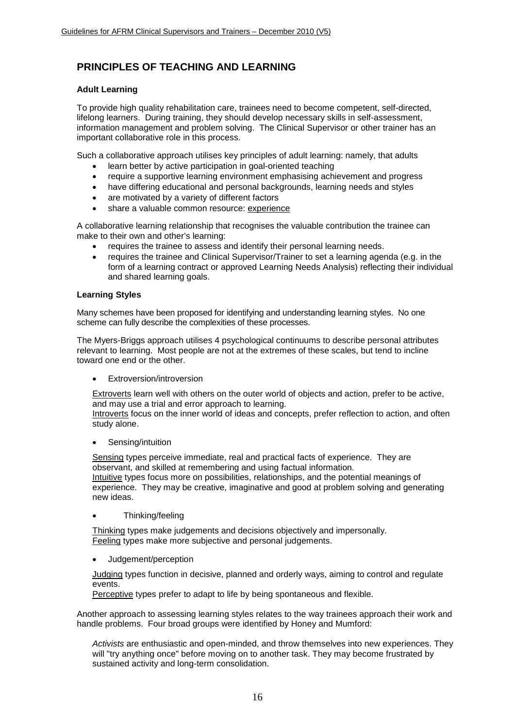## **PRINCIPLES OF TEACHING AND LEARNING**

#### **Adult Learning**

To provide high quality rehabilitation care, trainees need to become competent, self-directed, lifelong learners. During training, they should develop necessary skills in self-assessment, information management and problem solving. The Clinical Supervisor or other trainer has an important collaborative role in this process.

Such a collaborative approach utilises key principles of adult learning: namely, that adults

- learn better by active participation in goal-oriented teaching
- require a supportive learning environment emphasising achievement and progress
- have differing educational and personal backgrounds, learning needs and styles
- are motivated by a variety of different factors
- share a valuable common resource: experience

A collaborative learning relationship that recognises the valuable contribution the trainee can make to their own and other's learning:

- requires the trainee to assess and identify their personal learning needs.
- requires the trainee and Clinical Supervisor/Trainer to set a learning agenda (e.g. in the form of a learning contract or approved Learning Needs Analysis) reflecting their individual and shared learning goals.

#### **Learning Styles**

Many schemes have been proposed for identifying and understanding learning styles. No one scheme can fully describe the complexities of these processes.

The Myers-Briggs approach utilises 4 psychological continuums to describe personal attributes relevant to learning. Most people are not at the extremes of these scales, but tend to incline toward one end or the other.

• Extroversion/introversion

Extroverts learn well with others on the outer world of objects and action, prefer to be active, and may use a trial and error approach to learning.

Introverts focus on the inner world of ideas and concepts, prefer reflection to action, and often study alone.

• Sensing/intuition

Sensing types perceive immediate, real and practical facts of experience. They are observant, and skilled at remembering and using factual information. Intuitive types focus more on possibilities, relationships, and the potential meanings of experience. They may be creative, imaginative and good at problem solving and generating new ideas.

• Thinking/feeling

Thinking types make judgements and decisions objectively and impersonally. Feeling types make more subjective and personal judgements.

• Judgement/perception

Judging types function in decisive, planned and orderly ways, aiming to control and regulate events.

Perceptive types prefer to adapt to life by being spontaneous and flexible.

Another approach to assessing learning styles relates to the way trainees approach their work and handle problems. Four broad groups were identified by Honey and Mumford:

*Activists* are enthusiastic and open-minded, and throw themselves into new experiences. They will "try anything once" before moving on to another task. They may become frustrated by sustained activity and long-term consolidation.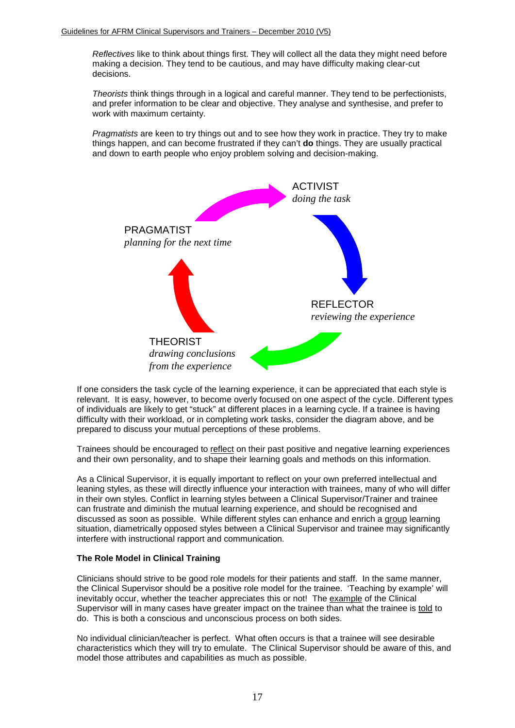*Reflectives* like to think about things first. They will collect all the data they might need before making a decision. They tend to be cautious, and may have difficulty making clear-cut decisions.

*Theorists* think things through in a logical and careful manner. They tend to be perfectionists, and prefer information to be clear and objective. They analyse and synthesise, and prefer to work with maximum certainty.

*Pragmatists* are keen to try things out and to see how they work in practice. They try to make things happen, and can become frustrated if they can't **do** things. They are usually practical and down to earth people who enjoy problem solving and decision-making.



If one considers the task cycle of the learning experience, it can be appreciated that each style is relevant. It is easy, however, to become overly focused on one aspect of the cycle. Different types of individuals are likely to get "stuck" at different places in a learning cycle. If a trainee is having difficulty with their workload, or in completing work tasks, consider the diagram above, and be prepared to discuss your mutual perceptions of these problems.

Trainees should be encouraged to reflect on their past positive and negative learning experiences and their own personality, and to shape their learning goals and methods on this information.

As a Clinical Supervisor, it is equally important to reflect on your own preferred intellectual and leaning styles, as these will directly influence your interaction with trainees, many of who will differ in their own styles. Conflict in learning styles between a Clinical Supervisor/Trainer and trainee can frustrate and diminish the mutual learning experience, and should be recognised and discussed as soon as possible. While different styles can enhance and enrich a group learning situation, diametrically opposed styles between a Clinical Supervisor and trainee may significantly interfere with instructional rapport and communication.

#### **The Role Model in Clinical Training**

Clinicians should strive to be good role models for their patients and staff. In the same manner, the Clinical Supervisor should be a positive role model for the trainee. 'Teaching by example' will inevitably occur, whether the teacher appreciates this or not! The example of the Clinical Supervisor will in many cases have greater impact on the trainee than what the trainee is told to do. This is both a conscious and unconscious process on both sides.

No individual clinician/teacher is perfect. What often occurs is that a trainee will see desirable characteristics which they will try to emulate. The Clinical Supervisor should be aware of this, and model those attributes and capabilities as much as possible.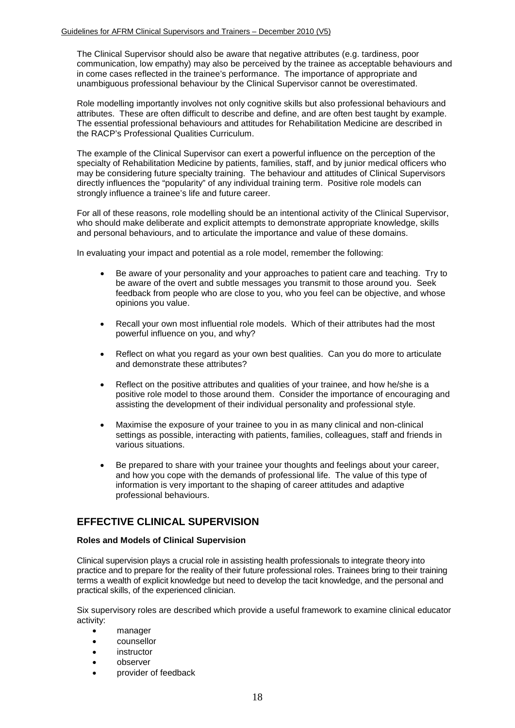The Clinical Supervisor should also be aware that negative attributes (e.g. tardiness, poor communication, low empathy) may also be perceived by the trainee as acceptable behaviours and in come cases reflected in the trainee's performance. The importance of appropriate and unambiguous professional behaviour by the Clinical Supervisor cannot be overestimated.

Role modelling importantly involves not only cognitive skills but also professional behaviours and attributes. These are often difficult to describe and define, and are often best taught by example. The essential professional behaviours and attitudes for Rehabilitation Medicine are described in the RACP's Professional Qualities Curriculum.

The example of the Clinical Supervisor can exert a powerful influence on the perception of the specialty of Rehabilitation Medicine by patients, families, staff, and by junior medical officers who may be considering future specialty training. The behaviour and attitudes of Clinical Supervisors directly influences the "popularity" of any individual training term. Positive role models can strongly influence a trainee's life and future career.

For all of these reasons, role modelling should be an intentional activity of the Clinical Supervisor, who should make deliberate and explicit attempts to demonstrate appropriate knowledge, skills and personal behaviours, and to articulate the importance and value of these domains.

In evaluating your impact and potential as a role model, remember the following:

- Be aware of your personality and your approaches to patient care and teaching. Try to be aware of the overt and subtle messages you transmit to those around you. Seek feedback from people who are close to you, who you feel can be objective, and whose opinions you value.
- Recall your own most influential role models. Which of their attributes had the most powerful influence on you, and why?
- Reflect on what you regard as your own best qualities. Can you do more to articulate and demonstrate these attributes?
- Reflect on the positive attributes and qualities of your trainee, and how he/she is a positive role model to those around them. Consider the importance of encouraging and assisting the development of their individual personality and professional style.
- Maximise the exposure of your trainee to you in as many clinical and non-clinical settings as possible, interacting with patients, families, colleagues, staff and friends in various situations.
- Be prepared to share with your trainee your thoughts and feelings about your career, and how you cope with the demands of professional life. The value of this type of information is very important to the shaping of career attitudes and adaptive professional behaviours.

## **EFFECTIVE CLINICAL SUPERVISION**

#### **Roles and Models of Clinical Supervision**

Clinical supervision plays a crucial role in assisting health professionals to integrate theory into practice and to prepare for the reality of their future professional roles. Trainees bring to their training terms a wealth of explicit knowledge but need to develop the tacit knowledge, and the personal and practical skills, of the experienced clinician.

Six supervisory roles are described which provide a useful framework to examine clinical educator activity:

- manager
- counsellor
- instructor
- observer
- provider of feedback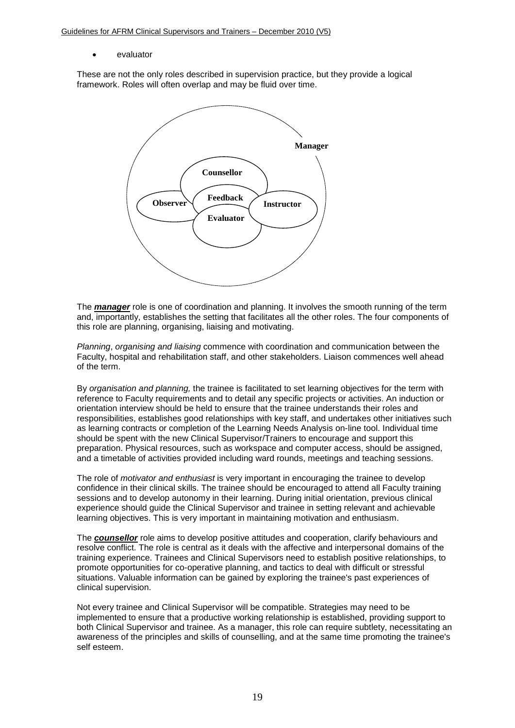#### **evaluator**

These are not the only roles described in supervision practice, but they provide a logical framework. Roles will often overlap and may be fluid over time.



The *manager* role is one of coordination and planning. It involves the smooth running of the term and, importantly, establishes the setting that facilitates all the other roles. The four components of this role are planning, organising, liaising and motivating.

*Planning*, *organising and liaising* commence with coordination and communication between the Faculty, hospital and rehabilitation staff, and other stakeholders. Liaison commences well ahead of the term.

By *organisation and planning,* the trainee is facilitated to set learning objectives for the term with reference to Faculty requirements and to detail any specific projects or activities. An induction or orientation interview should be held to ensure that the trainee understands their roles and responsibilities, establishes good relationships with key staff, and undertakes other initiatives such as learning contracts or completion of the Learning Needs Analysis on-line tool. Individual time should be spent with the new Clinical Supervisor/Trainers to encourage and support this preparation. Physical resources, such as workspace and computer access, should be assigned, and a timetable of activities provided including ward rounds, meetings and teaching sessions.

The role of *motivator and enthusiast* is very important in encouraging the trainee to develop confidence in their clinical skills. The trainee should be encouraged to attend all Faculty training sessions and to develop autonomy in their learning. During initial orientation, previous clinical experience should guide the Clinical Supervisor and trainee in setting relevant and achievable learning objectives. This is very important in maintaining motivation and enthusiasm.

The *counsellor* role aims to develop positive attitudes and cooperation, clarify behaviours and resolve conflict. The role is central as it deals with the affective and interpersonal domains of the training experience. Trainees and Clinical Supervisors need to establish positive relationships, to promote opportunities for co-operative planning, and tactics to deal with difficult or stressful situations. Valuable information can be gained by exploring the trainee's past experiences of clinical supervision.

Not every trainee and Clinical Supervisor will be compatible. Strategies may need to be implemented to ensure that a productive working relationship is established, providing support to both Clinical Supervisor and trainee. As a manager, this role can require subtlety, necessitating an awareness of the principles and skills of counselling, and at the same time promoting the trainee's self esteem.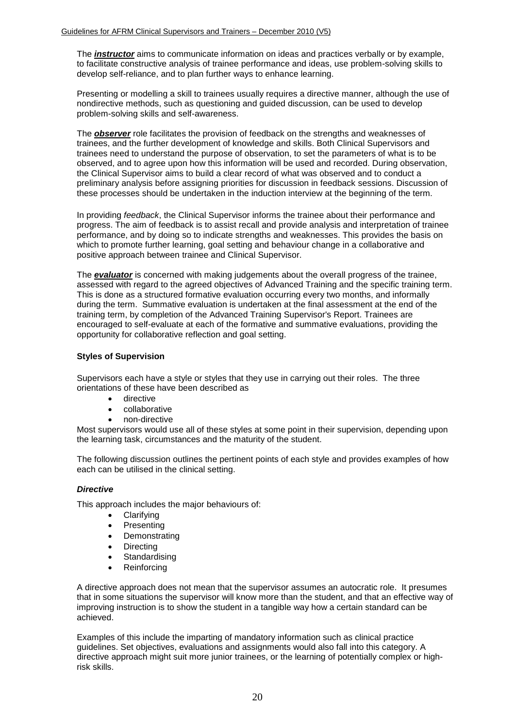The *instructor* aims to communicate information on ideas and practices verbally or by example, to facilitate constructive analysis of trainee performance and ideas, use problem-solving skills to develop self-reliance, and to plan further ways to enhance learning.

Presenting or modelling a skill to trainees usually requires a directive manner, although the use of nondirective methods, such as questioning and guided discussion, can be used to develop problem-solving skills and self-awareness.

The *observer* role facilitates the provision of feedback on the strengths and weaknesses of trainees, and the further development of knowledge and skills. Both Clinical Supervisors and trainees need to understand the purpose of observation, to set the parameters of what is to be observed, and to agree upon how this information will be used and recorded. During observation, the Clinical Supervisor aims to build a clear record of what was observed and to conduct a preliminary analysis before assigning priorities for discussion in feedback sessions. Discussion of these processes should be undertaken in the induction interview at the beginning of the term.

In providing *feedback*, the Clinical Supervisor informs the trainee about their performance and progress. The aim of feedback is to assist recall and provide analysis and interpretation of trainee performance, and by doing so to indicate strengths and weaknesses. This provides the basis on which to promote further learning, goal setting and behaviour change in a collaborative and positive approach between trainee and Clinical Supervisor.

The *evaluator* is concerned with making judgements about the overall progress of the trainee, assessed with regard to the agreed objectives of Advanced Training and the specific training term. This is done as a structured formative evaluation occurring every two months, and informally during the term. Summative evaluation is undertaken at the final assessment at the end of the training term, by completion of the Advanced Training Supervisor's Report. Trainees are encouraged to self-evaluate at each of the formative and summative evaluations, providing the opportunity for collaborative reflection and goal setting.

#### **Styles of Supervision**

Supervisors each have a style or styles that they use in carrying out their roles. The three orientations of these have been described as

- directive
- collaborative
- non-directive

Most supervisors would use all of these styles at some point in their supervision, depending upon the learning task, circumstances and the maturity of the student.

The following discussion outlines the pertinent points of each style and provides examples of how each can be utilised in the clinical setting.

#### *Directive*

This approach includes the major behaviours of:

- Clarifying
- Presenting
- Demonstrating
- **Directing**
- Standardising
- Reinforcing

A directive approach does not mean that the supervisor assumes an autocratic role. It presumes that in some situations the supervisor will know more than the student, and that an effective way of improving instruction is to show the student in a tangible way how a certain standard can be achieved.

Examples of this include the imparting of mandatory information such as clinical practice guidelines. Set objectives, evaluations and assignments would also fall into this category. A directive approach might suit more junior trainees, or the learning of potentially complex or highrisk skills.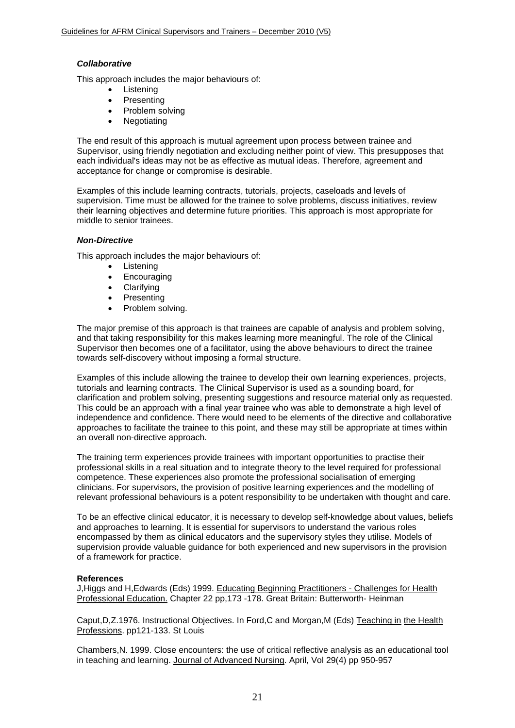#### *Collaborative*

This approach includes the major behaviours of:

- Listening
- Presenting
- Problem solving
- **Negotiating**

The end result of this approach is mutual agreement upon process between trainee and Supervisor, using friendly negotiation and excluding neither point of view. This presupposes that each individual's ideas may not be as effective as mutual ideas. Therefore, agreement and acceptance for change or compromise is desirable.

Examples of this include learning contracts, tutorials, projects, caseloads and levels of supervision. Time must be allowed for the trainee to solve problems, discuss initiatives, review their learning objectives and determine future priorities. This approach is most appropriate for middle to senior trainees.

#### *Non-Directive*

This approach includes the major behaviours of:

- Listening
- Encouraging
- Clarifying
- Presenting
- Problem solving.

The major premise of this approach is that trainees are capable of analysis and problem solving, and that taking responsibility for this makes learning more meaningful. The role of the Clinical Supervisor then becomes one of a facilitator, using the above behaviours to direct the trainee towards self-discovery without imposing a formal structure.

Examples of this include allowing the trainee to develop their own learning experiences, projects, tutorials and learning contracts. The Clinical Supervisor is used as a sounding board, for clarification and problem solving, presenting suggestions and resource material only as requested. This could be an approach with a final year trainee who was able to demonstrate a high level of independence and confidence. There would need to be elements of the directive and collaborative approaches to facilitate the trainee to this point, and these may still be appropriate at times within an overall non-directive approach.

The training term experiences provide trainees with important opportunities to practise their professional skills in a real situation and to integrate theory to the level required for professional competence. These experiences also promote the professional socialisation of emerging clinicians. For supervisors, the provision of positive learning experiences and the modelling of relevant professional behaviours is a potent responsibility to be undertaken with thought and care.

To be an effective clinical educator, it is necessary to develop self-knowledge about values, beliefs and approaches to learning. It is essential for supervisors to understand the various roles encompassed by them as clinical educators and the supervisory styles they utilise. Models of supervision provide valuable guidance for both experienced and new supervisors in the provision of a framework for practice.

#### **References**

J, Higgs and H, Edwards (Eds) 1999. Educating Beginning Practitioners - Challenges for Health Professional Education. Chapter 22 pp,173 -178. Great Britain: Butterworth- Heinman

Caput,D,Z.1976. Instructional Objectives. In Ford,C and Morgan,M (Eds) Teaching in the Health Professions. pp121-133. St Louis

Chambers,N. 1999. Close encounters: the use of critical reflective analysis as an educational tool in teaching and learning. Journal of Advanced Nursing. April, Vol 29(4) pp 950-957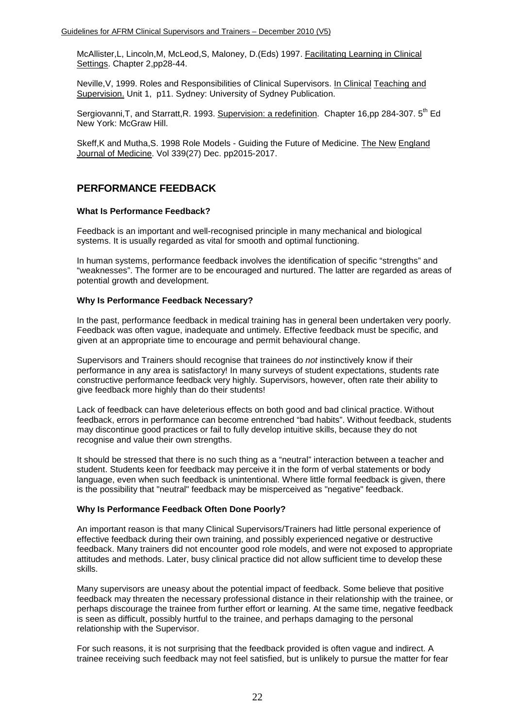McAllister,L, Lincoln,M, McLeod,S, Maloney, D.(Eds) 1997. Facilitating Learning in Clinical Settings. Chapter 2,pp28-44.

Neville,V, 1999. Roles and Responsibilities of Clinical Supervisors. In Clinical Teaching and Supervision. Unit 1, p11. Sydney: University of Sydney Publication.

Sergiovanni, T, and Starratt, R. 1993. Supervision: a redefinition. Chapter 16, pp 284-307. 5<sup>th</sup> Ed New York: McGraw Hill.

Skeff,K and Mutha,S. 1998 Role Models - Guiding the Future of Medicine. The New England Journal of Medicine. Vol 339(27) Dec. pp2015-2017.

## **PERFORMANCE FEEDBACK**

#### **What Is Performance Feedback?**

Feedback is an important and well-recognised principle in many mechanical and biological systems. It is usually regarded as vital for smooth and optimal functioning.

In human systems, performance feedback involves the identification of specific "strengths" and "weaknesses". The former are to be encouraged and nurtured. The latter are regarded as areas of potential growth and development.

#### **Why Is Performance Feedback Necessary?**

In the past, performance feedback in medical training has in general been undertaken very poorly. Feedback was often vague, inadequate and untimely. Effective feedback must be specific, and given at an appropriate time to encourage and permit behavioural change.

Supervisors and Trainers should recognise that trainees do *not* instinctively know if their performance in any area is satisfactory! In many surveys of student expectations, students rate constructive performance feedback very highly. Supervisors, however, often rate their ability to give feedback more highly than do their students!

Lack of feedback can have deleterious effects on both good and bad clinical practice. Without feedback, errors in performance can become entrenched "bad habits". Without feedback, students may discontinue good practices or fail to fully develop intuitive skills, because they do not recognise and value their own strengths.

It should be stressed that there is no such thing as a "neutral" interaction between a teacher and student. Students keen for feedback may perceive it in the form of verbal statements or body language, even when such feedback is unintentional. Where little formal feedback is given, there is the possibility that "neutral" feedback may be misperceived as "negative" feedback.

#### **Why Is Performance Feedback Often Done Poorly?**

An important reason is that many Clinical Supervisors/Trainers had little personal experience of effective feedback during their own training, and possibly experienced negative or destructive feedback. Many trainers did not encounter good role models, and were not exposed to appropriate attitudes and methods. Later, busy clinical practice did not allow sufficient time to develop these skills.

Many supervisors are uneasy about the potential impact of feedback. Some believe that positive feedback may threaten the necessary professional distance in their relationship with the trainee, or perhaps discourage the trainee from further effort or learning. At the same time, negative feedback is seen as difficult, possibly hurtful to the trainee, and perhaps damaging to the personal relationship with the Supervisor.

For such reasons, it is not surprising that the feedback provided is often vague and indirect. A trainee receiving such feedback may not feel satisfied, but is unlikely to pursue the matter for fear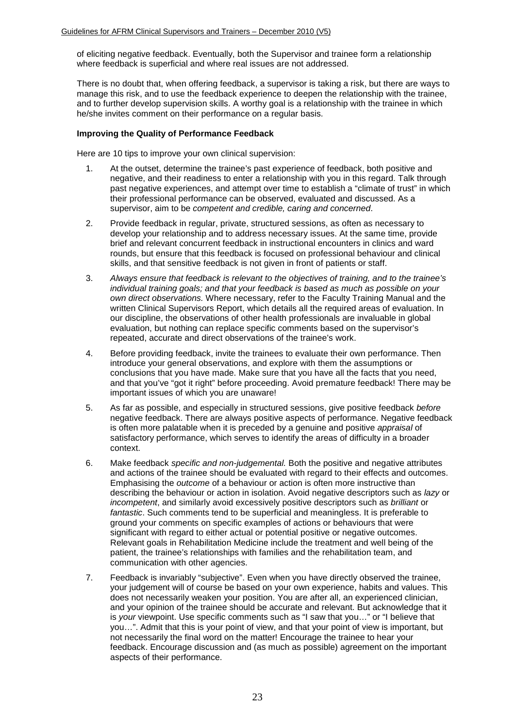of eliciting negative feedback. Eventually, both the Supervisor and trainee form a relationship where feedback is superficial and where real issues are not addressed.

There is no doubt that, when offering feedback, a supervisor is taking a risk, but there are ways to manage this risk, and to use the feedback experience to deepen the relationship with the trainee, and to further develop supervision skills. A worthy goal is a relationship with the trainee in which he/she invites comment on their performance on a regular basis.

#### **Improving the Quality of Performance Feedback**

Here are 10 tips to improve your own clinical supervision:

- 1. At the outset, determine the trainee's past experience of feedback, both positive and negative, and their readiness to enter a relationship with you in this regard. Talk through past negative experiences, and attempt over time to establish a "climate of trust" in which their professional performance can be observed, evaluated and discussed. As a supervisor, aim to be *competent and credible, caring and concerned*.
- 2. Provide feedback in regular, private, structured sessions, as often as necessary to develop your relationship and to address necessary issues. At the same time, provide brief and relevant concurrent feedback in instructional encounters in clinics and ward rounds, but ensure that this feedback is focused on professional behaviour and clinical skills, and that sensitive feedback is not given in front of patients or staff.
- 3. *Always ensure that feedback is relevant to the objectives of training, and to the trainee's individual training goals; and that your feedback is based as much as possible on your own direct observations.* Where necessary, refer to the Faculty Training Manual and the written Clinical Supervisors Report, which details all the required areas of evaluation. In our discipline, the observations of other health professionals are invaluable in global evaluation, but nothing can replace specific comments based on the supervisor's repeated, accurate and direct observations of the trainee's work.
- 4. Before providing feedback, invite the trainees to evaluate their own performance. Then introduce your general observations, and explore with them the assumptions or conclusions that you have made. Make sure that you have all the facts that you need, and that you've "got it right" before proceeding. Avoid premature feedback! There may be important issues of which you are unaware!
- 5. As far as possible, and especially in structured sessions, give positive feedback *before* negative feedback. There are always positive aspects of performance. Negative feedback is often more palatable when it is preceded by a genuine and positive *appraisal* of satisfactory performance, which serves to identify the areas of difficulty in a broader context.
- 6. Make feedback *specific and non-judgemental.* Both the positive and negative attributes and actions of the trainee should be evaluated with regard to their effects and outcomes. Emphasising the *outcome* of a behaviour or action is often more instructive than describing the behaviour or action in isolation. Avoid negative descriptors such as *lazy* or *incompetent*, and similarly avoid excessively positive descriptors such as *brilliant* or *fantastic*. Such comments tend to be superficial and meaningless. It is preferable to ground your comments on specific examples of actions or behaviours that were significant with regard to either actual or potential positive or negative outcomes. Relevant goals in Rehabilitation Medicine include the treatment and well being of the patient, the trainee's relationships with families and the rehabilitation team, and communication with other agencies.
- 7. Feedback is invariably "subjective". Even when you have directly observed the trainee, your judgement will of course be based on your own experience, habits and values. This does not necessarily weaken your position. You are after all, an experienced clinician, and your opinion of the trainee should be accurate and relevant. But acknowledge that it is *your* viewpoint. Use specific comments such as "I saw that you…" or "I believe that you…". Admit that this is your point of view, and that your point of view is important, but not necessarily the final word on the matter! Encourage the trainee to hear your feedback. Encourage discussion and (as much as possible) agreement on the important aspects of their performance.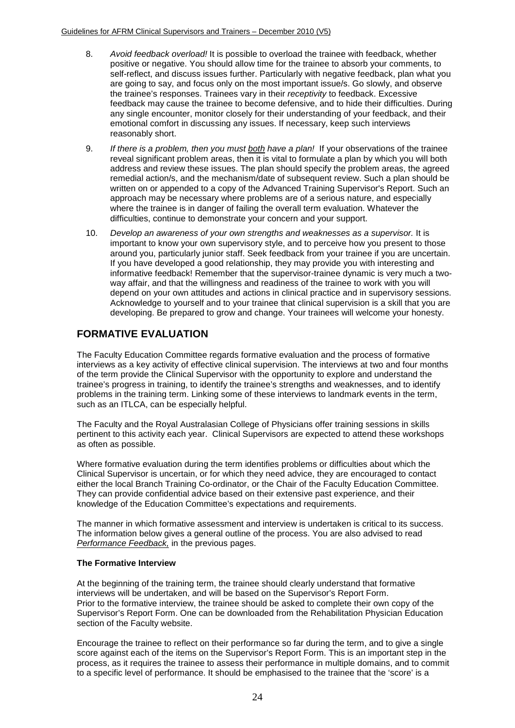- 8. *Avoid feedback overload!* It is possible to overload the trainee with feedback, whether positive or negative. You should allow time for the trainee to absorb your comments, to self-reflect, and discuss issues further. Particularly with negative feedback, plan what you are going to say, and focus only on the most important issue/s. Go slowly, and observe the trainee's responses. Trainees vary in their *receptivity* to feedback. Excessive feedback may cause the trainee to become defensive, and to hide their difficulties. During any single encounter, monitor closely for their understanding of your feedback, and their emotional comfort in discussing any issues. If necessary, keep such interviews reasonably short.
- 9. *If there is a problem, then you must both have a plan!* If your observations of the trainee reveal significant problem areas, then it is vital to formulate a plan by which you will both address and review these issues. The plan should specify the problem areas, the agreed remedial action/s, and the mechanism/date of subsequent review. Such a plan should be written on or appended to a copy of the Advanced Training Supervisor's Report. Such an approach may be necessary where problems are of a serious nature, and especially where the trainee is in danger of failing the overall term evaluation. Whatever the difficulties, continue to demonstrate your concern and your support.
- 10. *Develop an awareness of your own strengths and weaknesses as a supervisor.* It is important to know your own supervisory style, and to perceive how you present to those around you, particularly junior staff. Seek feedback from your trainee if you are uncertain. If you have developed a good relationship, they may provide you with interesting and informative feedback! Remember that the supervisor-trainee dynamic is very much a twoway affair, and that the willingness and readiness of the trainee to work with you will depend on your own attitudes and actions in clinical practice and in supervisory sessions. Acknowledge to yourself and to your trainee that clinical supervision is a skill that you are developing. Be prepared to grow and change. Your trainees will welcome your honesty.

## **FORMATIVE EVALUATION**

The Faculty Education Committee regards formative evaluation and the process of formative interviews as a key activity of effective clinical supervision. The interviews at two and four months of the term provide the Clinical Supervisor with the opportunity to explore and understand the trainee's progress in training, to identify the trainee's strengths and weaknesses, and to identify problems in the training term. Linking some of these interviews to landmark events in the term, such as an ITLCA, can be especially helpful.

The Faculty and the Royal Australasian College of Physicians offer training sessions in skills pertinent to this activity each year. Clinical Supervisors are expected to attend these workshops as often as possible.

Where formative evaluation during the term identifies problems or difficulties about which the Clinical Supervisor is uncertain, or for which they need advice, they are encouraged to contact either the local Branch Training Co-ordinator, or the Chair of the Faculty Education Committee. They can provide confidential advice based on their extensive past experience, and their knowledge of the Education Committee's expectations and requirements.

The manner in which formative assessment and interview is undertaken is critical to its success. The information below gives a general outline of the process. You are also advised to read *Performance Feedback,* in the previous pages.

#### **The Formative Interview**

At the beginning of the training term, the trainee should clearly understand that formative interviews will be undertaken, and will be based on the Supervisor's Report Form. Prior to the formative interview, the trainee should be asked to complete their own copy of the Supervisor's Report Form. One can be downloaded from the Rehabilitation Physician Education section of the Faculty website.

Encourage the trainee to reflect on their performance so far during the term, and to give a single score against each of the items on the Supervisor's Report Form. This is an important step in the process, as it requires the trainee to assess their performance in multiple domains, and to commit to a specific level of performance. It should be emphasised to the trainee that the 'score' is a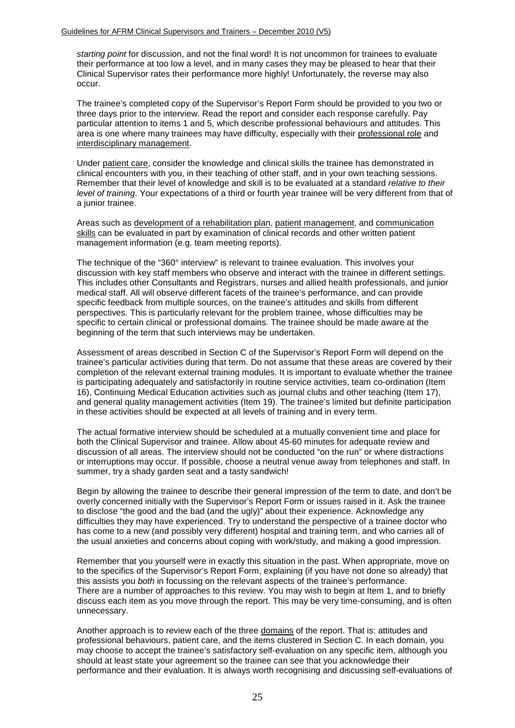*starting point* for discussion, and not the final word! It is not uncommon for trainees to evaluate their performance at too low a level, and in many cases they may be pleased to hear that their Clinical Supervisor rates their performance more highly! Unfortunately, the reverse may also occur.

The trainee's completed copy of the Supervisor's Report Form should be provided to you two or three days prior to the interview. Read the report and consider each response carefully. Pay particular attention to items 1 and 5, which describe professional behaviours and attitudes. This area is one where many trainees may have difficulty, especially with their professional role and interdisciplinary management.

Under patient care, consider the knowledge and clinical skills the trainee has demonstrated in clinical encounters with you, in their teaching of other staff, and in your own teaching sessions. Remember that their level of knowledge and skill is to be evaluated at a standard *relative to their level of training*. Your expectations of a third or fourth year trainee will be very different from that of a junior trainee.

Areas such as development of a rehabilitation plan, patient management, and communication skills can be evaluated in part by examination of clinical records and other written patient management information (e.g. team meeting reports).

The technique of the "360° interview" is relevant to trainee evaluation. This involves your discussion with key staff members who observe and interact with the trainee in different settings. This includes other Consultants and Registrars, nurses and allied health professionals, and junior medical staff. All will observe different facets of the trainee's performance, and can provide specific feedback from multiple sources, on the trainee's attitudes and skills from different perspectives. This is particularly relevant for the problem trainee, whose difficulties may be specific to certain clinical or professional domains. The trainee should be made aware at the beginning of the term that such interviews may be undertaken.

Assessment of areas described in Section C of the Supervisor's Report Form will depend on the trainee's particular activities during that term. Do not assume that these areas are covered by their completion of the relevant external training modules. It is important to evaluate whether the trainee is participating adequately and satisfactorily in routine service activities, team co-ordination (Item 16), Continuing Medical Education activities such as journal clubs and other teaching (Item 17), and general quality management activities (Item 19). The trainee's limited but definite participation in these activities should be expected at all levels of training and in every term.

The actual formative interview should be scheduled at a mutually convenient time and place for both the Clinical Supervisor and trainee. Allow about 45-60 minutes for adequate review and discussion of all areas. The interview should not be conducted "on the run" or where distractions or interruptions may occur. If possible, choose a neutral venue away from telephones and staff. In summer, try a shady garden seat and a tasty sandwich!

Begin by allowing the trainee to describe their general impression of the term to date, and don't be overly concerned initially with the Supervisor's Report Form or issues raised in it. Ask the trainee to disclose "the good and the bad (and the ugly)" about their experience. Acknowledge any difficulties they may have experienced. Try to understand the perspective of a trainee doctor who has come to a new (and possibly very different) hospital and training term, and who carries all of the usual anxieties and concerns about coping with work/study, and making a good impression.

Remember that you yourself were in exactly this situation in the past. When appropriate, move on to the specifics of the Supervisor's Report Form, explaining (if you have not done so already) that this assists you *both* in focussing on the relevant aspects of the trainee's performance. There are a number of approaches to this review. You may wish to begin at Item 1, and to briefly discuss each item as you move through the report. This may be very time-consuming, and is often unnecessary.

Another approach is to review each of the three domains of the report. That is: attitudes and professional behaviours, patient care, and the items clustered in Section C. In each domain, you may choose to accept the trainee's satisfactory self-evaluation on any specific item, although you should at least state your agreement so the trainee can see that you acknowledge their performance and their evaluation. It is always worth recognising and discussing self-evaluations of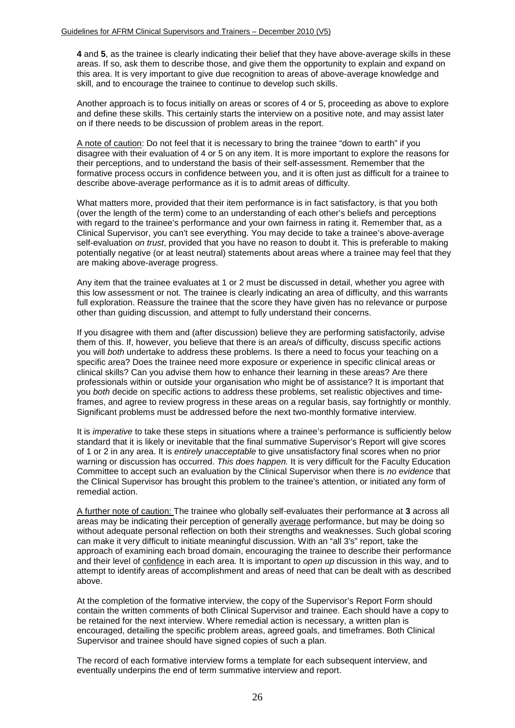**4** and **5**, as the trainee is clearly indicating their belief that they have above-average skills in these areas. If so, ask them to describe those, and give them the opportunity to explain and expand on this area. It is very important to give due recognition to areas of above-average knowledge and skill, and to encourage the trainee to continue to develop such skills.

Another approach is to focus initially on areas or scores of 4 or 5, proceeding as above to explore and define these skills. This certainly starts the interview on a positive note, and may assist later on if there needs to be discussion of problem areas in the report.

A note of caution: Do not feel that it is necessary to bring the trainee "down to earth" if you disagree with their evaluation of 4 or 5 on any item. It is more important to explore the reasons for their perceptions, and to understand the basis of their self-assessment. Remember that the formative process occurs in confidence between you, and it is often just as difficult for a trainee to describe above-average performance as it is to admit areas of difficulty.

What matters more, provided that their item performance is in fact satisfactory, is that you both (over the length of the term) come to an understanding of each other's beliefs and perceptions with regard to the trainee's performance and your own fairness in rating it. Remember that, as a Clinical Supervisor, you can't see everything. You may decide to take a trainee's above-average self-evaluation *on trust*, provided that you have no reason to doubt it. This is preferable to making potentially negative (or at least neutral) statements about areas where a trainee may feel that they are making above-average progress.

Any item that the trainee evaluates at 1 or 2 must be discussed in detail, whether you agree with this low assessment or not. The trainee is clearly indicating an area of difficulty, and this warrants full exploration. Reassure the trainee that the score they have given has no relevance or purpose other than guiding discussion, and attempt to fully understand their concerns.

If you disagree with them and (after discussion) believe they are performing satisfactorily, advise them of this. If, however, you believe that there is an area/s of difficulty, discuss specific actions you will *both* undertake to address these problems. Is there a need to focus your teaching on a specific area? Does the trainee need more exposure or experience in specific clinical areas or clinical skills? Can you advise them how to enhance their learning in these areas? Are there professionals within or outside your organisation who might be of assistance? It is important that you *both* decide on specific actions to address these problems, set realistic objectives and timeframes, and agree to review progress in these areas on a regular basis, say fortnightly or monthly. Significant problems must be addressed before the next two-monthly formative interview.

It is *imperative* to take these steps in situations where a trainee's performance is sufficiently below standard that it is likely or inevitable that the final summative Supervisor's Report will give scores of 1 or 2 in any area. It is *entirely unacceptable* to give unsatisfactory final scores when no prior warning or discussion has occurred. *This does happen.* It is very difficult for the Faculty Education Committee to accept such an evaluation by the Clinical Supervisor when there is *no evidence* that the Clinical Supervisor has brought this problem to the trainee's attention, or initiated any form of remedial action.

A further note of caution: The trainee who globally self-evaluates their performance at **3** across all areas may be indicating their perception of generally average performance, but may be doing so without adequate personal reflection on both their strengths and weaknesses. Such global scoring can make it very difficult to initiate meaningful discussion. With an "all 3's" report, take the approach of examining each broad domain, encouraging the trainee to describe their performance and their level of confidence in each area. It is important to *open up* discussion in this way, and to attempt to identify areas of accomplishment and areas of need that can be dealt with as described above.

At the completion of the formative interview, the copy of the Supervisor's Report Form should contain the written comments of both Clinical Supervisor and trainee. Each should have a copy to be retained for the next interview. Where remedial action is necessary, a written plan is encouraged, detailing the specific problem areas, agreed goals, and timeframes. Both Clinical Supervisor and trainee should have signed copies of such a plan.

The record of each formative interview forms a template for each subsequent interview, and eventually underpins the end of term summative interview and report.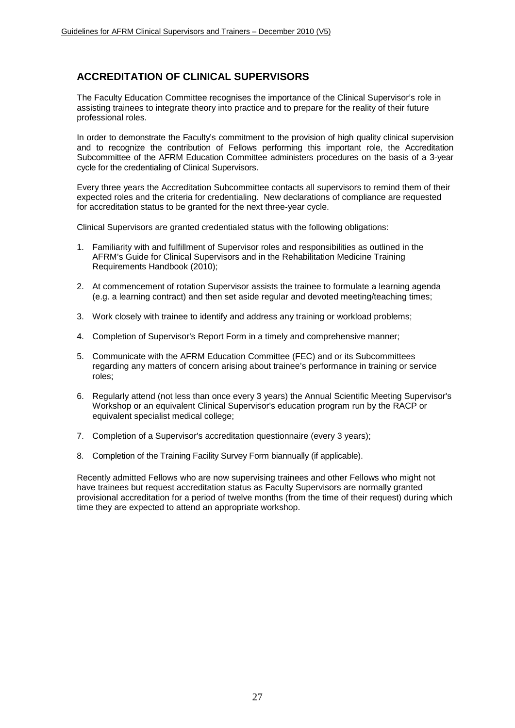## **ACCREDITATION OF CLINICAL SUPERVISORS**

The Faculty Education Committee recognises the importance of the Clinical Supervisor's role in assisting trainees to integrate theory into practice and to prepare for the reality of their future professional roles.

In order to demonstrate the Faculty's commitment to the provision of high quality clinical supervision and to recognize the contribution of Fellows performing this important role, the Accreditation Subcommittee of the AFRM Education Committee administers procedures on the basis of a 3-year cycle for the credentialing of Clinical Supervisors.

Every three years the Accreditation Subcommittee contacts all supervisors to remind them of their expected roles and the criteria for credentialing. New declarations of compliance are requested for accreditation status to be granted for the next three-year cycle.

Clinical Supervisors are granted credentialed status with the following obligations:

- 1. Familiarity with and fulfillment of Supervisor roles and responsibilities as outlined in the AFRM's Guide for Clinical Supervisors and in the Rehabilitation Medicine Training Requirements Handbook (2010);
- 2. At commencement of rotation Supervisor assists the trainee to formulate a learning agenda (e.g. a learning contract) and then set aside regular and devoted meeting/teaching times;
- 3. Work closely with trainee to identify and address any training or workload problems;
- 4. Completion of Supervisor's Report Form in a timely and comprehensive manner;
- 5. Communicate with the AFRM Education Committee (FEC) and or its Subcommittees regarding any matters of concern arising about trainee's performance in training or service roles;
- 6. Regularly attend (not less than once every 3 years) the Annual Scientific Meeting Supervisor's Workshop or an equivalent Clinical Supervisor's education program run by the RACP or equivalent specialist medical college;
- 7. Completion of a Supervisor's accreditation questionnaire (every 3 years);
- 8. Completion of the Training Facility Survey Form biannually (if applicable).

Recently admitted Fellows who are now supervising trainees and other Fellows who might not have trainees but request accreditation status as Faculty Supervisors are normally granted provisional accreditation for a period of twelve months (from the time of their request) during which time they are expected to attend an appropriate workshop.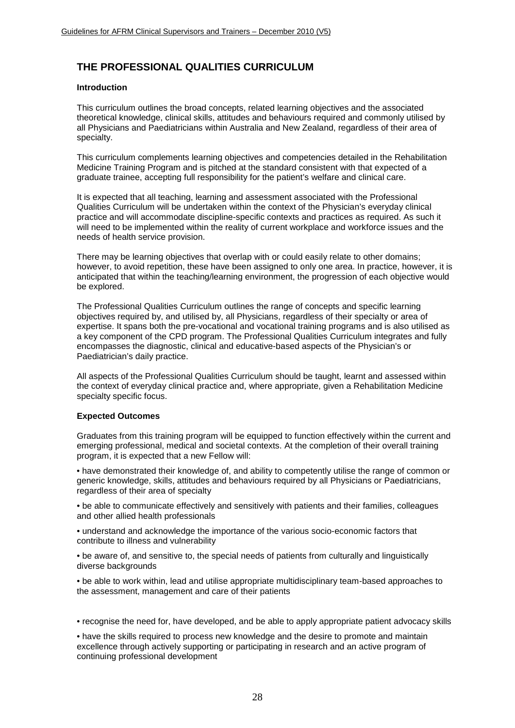## **THE PROFESSIONAL QUALITIES CURRICULUM**

#### **Introduction**

This curriculum outlines the broad concepts, related learning objectives and the associated theoretical knowledge, clinical skills, attitudes and behaviours required and commonly utilised by all Physicians and Paediatricians within Australia and New Zealand, regardless of their area of specialty.

This curriculum complements learning objectives and competencies detailed in the Rehabilitation Medicine Training Program and is pitched at the standard consistent with that expected of a graduate trainee, accepting full responsibility for the patient's welfare and clinical care.

It is expected that all teaching, learning and assessment associated with the Professional Qualities Curriculum will be undertaken within the context of the Physician's everyday clinical practice and will accommodate discipline-specific contexts and practices as required. As such it will need to be implemented within the reality of current workplace and workforce issues and the needs of health service provision.

There may be learning objectives that overlap with or could easily relate to other domains; however, to avoid repetition, these have been assigned to only one area. In practice, however, it is anticipated that within the teaching/learning environment, the progression of each objective would be explored.

The Professional Qualities Curriculum outlines the range of concepts and specific learning objectives required by, and utilised by, all Physicians, regardless of their specialty or area of expertise. It spans both the pre-vocational and vocational training programs and is also utilised as a key component of the CPD program. The Professional Qualities Curriculum integrates and fully encompasses the diagnostic, clinical and educative-based aspects of the Physician's or Paediatrician's daily practice.

All aspects of the Professional Qualities Curriculum should be taught, learnt and assessed within the context of everyday clinical practice and, where appropriate, given a Rehabilitation Medicine specialty specific focus.

#### **Expected Outcomes**

Graduates from this training program will be equipped to function effectively within the current and emerging professional, medical and societal contexts. At the completion of their overall training program, it is expected that a new Fellow will:

• have demonstrated their knowledge of, and ability to competently utilise the range of common or generic knowledge, skills, attitudes and behaviours required by all Physicians or Paediatricians, regardless of their area of specialty

• be able to communicate effectively and sensitively with patients and their families, colleagues and other allied health professionals

• understand and acknowledge the importance of the various socio-economic factors that contribute to illness and vulnerability

• be aware of, and sensitive to, the special needs of patients from culturally and linguistically diverse backgrounds

• be able to work within, lead and utilise appropriate multidisciplinary team-based approaches to the assessment, management and care of their patients

• recognise the need for, have developed, and be able to apply appropriate patient advocacy skills

• have the skills required to process new knowledge and the desire to promote and maintain excellence through actively supporting or participating in research and an active program of continuing professional development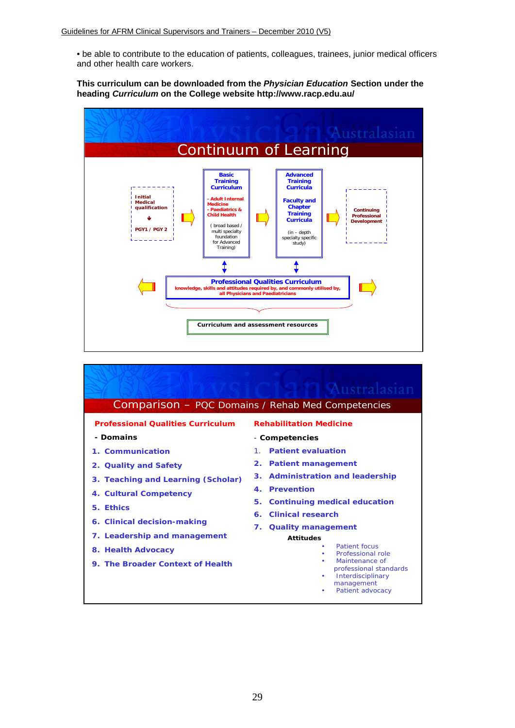• be able to contribute to the education of patients, colleagues, trainees, junior medical officers and other health care workers.

#### **This curriculum can be downloaded from the** *Physician Education* **Section under the heading** *Curriculum* **on the College website http://www.racp.edu.au/**



#### Comparison – PQC Domains / Rehab Med Competencies **Professional Qualities Curriculum - Domains 1. Communication 2. Quality and Safety 3. Teaching and Learning (Scholar) 4. Cultural Competency 5. Ethics 6. Clinical decision-making 7. Leadership and management 8. Health Advocacy 9. The Broader Context of Health Rehabilitation Medicine** - **Competencies** 1. **Patient evaluation 2. Patient management 3. Administration and leadership 4. Prevention 5. Continuing medical education 6. Clinical research 7. Quality management Attitudes** Patient focus • Professional role • Maintenance of professional standards **Interdisciplinary** management Patient advocacy

#### 29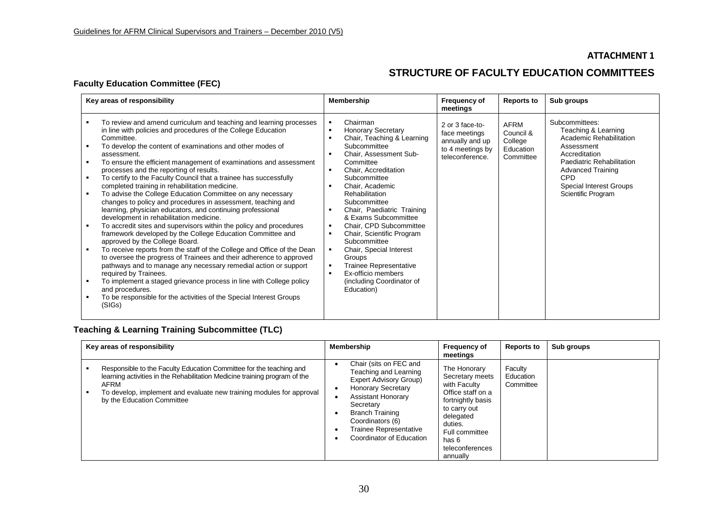## **ATTACHMENT 1**

## **STRUCTURE OF FACULTY EDUCATION COMMITTEES**

## **Faculty Education Committee (FEC)**

| Key areas of responsibility                                                                                                                                                                                                                                                                                                                                                                                                                                                                                                                                                                                                                                                                                                                                                                                                                                                                                                                                                                                                                                                                                                                                                                                                                                                                                | Membership                                                                                                                                                                                                                                                                                                                                                                                                                                                                                                                                                                                                                                                                                         | <b>Frequency of</b><br>meetings                                                            | <b>Reports to</b>                                      | Sub groups                                                                                                                                                                                                                     |
|------------------------------------------------------------------------------------------------------------------------------------------------------------------------------------------------------------------------------------------------------------------------------------------------------------------------------------------------------------------------------------------------------------------------------------------------------------------------------------------------------------------------------------------------------------------------------------------------------------------------------------------------------------------------------------------------------------------------------------------------------------------------------------------------------------------------------------------------------------------------------------------------------------------------------------------------------------------------------------------------------------------------------------------------------------------------------------------------------------------------------------------------------------------------------------------------------------------------------------------------------------------------------------------------------------|----------------------------------------------------------------------------------------------------------------------------------------------------------------------------------------------------------------------------------------------------------------------------------------------------------------------------------------------------------------------------------------------------------------------------------------------------------------------------------------------------------------------------------------------------------------------------------------------------------------------------------------------------------------------------------------------------|--------------------------------------------------------------------------------------------|--------------------------------------------------------|--------------------------------------------------------------------------------------------------------------------------------------------------------------------------------------------------------------------------------|
| To review and amend curriculum and teaching and learning processes<br>in line with policies and procedures of the College Education<br>Committee.<br>To develop the content of examinations and other modes of<br>assessment.<br>To ensure the efficient management of examinations and assessment<br>processes and the reporting of results.<br>To certify to the Faculty Council that a trainee has successfully<br>completed training in rehabilitation medicine.<br>To advise the College Education Committee on any necessary<br>changes to policy and procedures in assessment, teaching and<br>learning, physician educators, and continuing professional<br>development in rehabilitation medicine.<br>To accredit sites and supervisors within the policy and procedures<br>framework developed by the College Education Committee and<br>approved by the College Board.<br>To receive reports from the staff of the College and Office of the Dean<br>to oversee the progress of Trainees and their adherence to approved<br>pathways and to manage any necessary remedial action or support<br>required by Trainees.<br>To implement a staged grievance process in line with College policy<br>and procedures.<br>To be responsible for the activities of the Special Interest Groups<br>(SIGs) | Chairman<br>$\blacksquare$<br><b>Honorary Secretary</b><br>$\blacksquare$<br>Chair, Teaching & Learning<br>$\blacksquare$<br>Subcommittee<br>Chair, Assessment Sub-<br>Committee<br>Chair, Accreditation<br>$\blacksquare$<br>Subcommittee<br>Chair, Academic<br>$\blacksquare$<br>Rehabilitation<br>Subcommittee<br>Chair, Paediatric Training<br>$\blacksquare$<br>& Exams Subcommittee<br>Chair, CPD Subcommittee<br>$\blacksquare$<br>Chair, Scientific Program<br>$\blacksquare$<br>Subcommittee<br>Chair, Special Interest<br>$\blacksquare$<br>Groups<br><b>Trainee Representative</b><br>$\blacksquare$<br>Ex-officio members<br>$\blacksquare$<br>(including Coordinator of<br>Education) | 2 or 3 face-to-<br>face meetings<br>annually and up<br>to 4 meetings by<br>teleconference. | AFRM<br>Council &<br>College<br>Education<br>Committee | Subcommittees:<br>Teaching & Learning<br>Academic Rehabilitation<br>Assessment<br>Accreditation<br>Paediatric Rehabilitation<br><b>Advanced Training</b><br><b>CPD</b><br><b>Special Interest Groups</b><br>Scientific Program |

#### **Teaching & Learning Training Subcommittee (TLC)**

| Key areas of responsibility                                                                                                                                                                                                                                     | Membership                                                                                                                                                                                                                                                  | <b>Frequency of</b><br>meetings                                                                                                                                                             | <b>Reports to</b>                 | Sub groups |
|-----------------------------------------------------------------------------------------------------------------------------------------------------------------------------------------------------------------------------------------------------------------|-------------------------------------------------------------------------------------------------------------------------------------------------------------------------------------------------------------------------------------------------------------|---------------------------------------------------------------------------------------------------------------------------------------------------------------------------------------------|-----------------------------------|------------|
| Responsible to the Faculty Education Committee for the teaching and<br>learning activities in the Rehabilitation Medicine training program of the<br>AFRM<br>To develop, implement and evaluate new training modules for approval<br>by the Education Committee | Chair (sits on FEC and<br>Teaching and Learning<br><b>Expert Advisory Group)</b><br><b>Honorary Secretary</b><br><b>Assistant Honorary</b><br>Secretary<br><b>Branch Training</b><br>Coordinators (6)<br>Trainee Representative<br>Coordinator of Education | The Honorary<br>Secretary meets<br>with Faculty<br>Office staff on a<br>fortnightly basis<br>to carry out<br>delegated<br>duties.<br>Full committee<br>has 6<br>teleconferences<br>annually | Faculty<br>Education<br>Committee |            |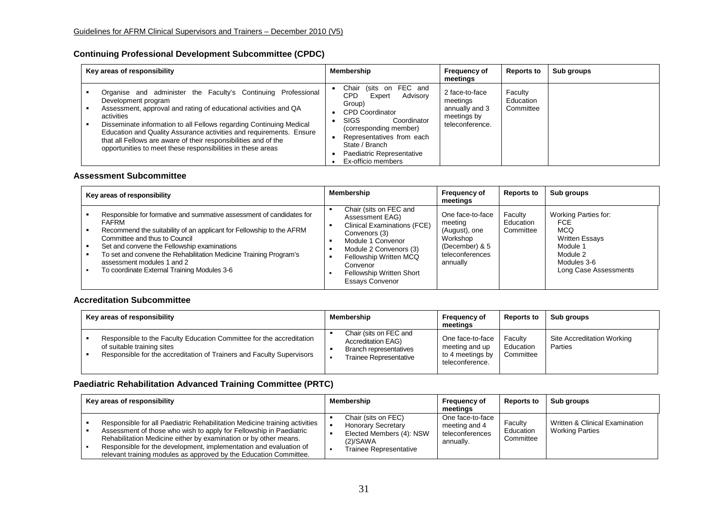#### **Continuing Professional Development Subcommittee (CPDC)**

| Key areas of responsibility                                                                                                                                                                                                                                                                                                                                                                                                                            | Membership                                                                                                                                                                                                                                         | <b>Frequency of</b><br>meetings                                                | <b>Reports to</b>                 | Sub groups |
|--------------------------------------------------------------------------------------------------------------------------------------------------------------------------------------------------------------------------------------------------------------------------------------------------------------------------------------------------------------------------------------------------------------------------------------------------------|----------------------------------------------------------------------------------------------------------------------------------------------------------------------------------------------------------------------------------------------------|--------------------------------------------------------------------------------|-----------------------------------|------------|
| Organise and administer the Faculty's Continuing Professional<br>Development program<br>Assessment, approval and rating of educational activities and QA<br>activities<br>Disseminate information to all Fellows regarding Continuing Medical<br>Education and Quality Assurance activities and requirements. Ensure<br>that all Fellows are aware of their responsibilities and of the<br>opportunities to meet these responsibilities in these areas | Chair (sits on FEC and<br>CPD.<br>Advisory<br>Expert<br>Group)<br><b>CPD Coordinator</b><br><b>SIGS</b><br>Coordinator<br>(corresponding member)<br>Representatives from each<br>State / Branch<br>Paediatric Representative<br>Ex-officio members | 2 face-to-face<br>meetings<br>annually and 3<br>meetings by<br>teleconference. | Faculty<br>Education<br>Committee |            |

#### **Assessment Subcommittee**

| Membership<br>Key areas of responsibility                                                                                                                                                                                                                                                                                                                                                      |                                                                                                                                                                                                                                      | <b>Frequency of</b><br>meetings                                                                           | <b>Reports to</b>                 | Sub groups                                                                                                                                |
|------------------------------------------------------------------------------------------------------------------------------------------------------------------------------------------------------------------------------------------------------------------------------------------------------------------------------------------------------------------------------------------------|--------------------------------------------------------------------------------------------------------------------------------------------------------------------------------------------------------------------------------------|-----------------------------------------------------------------------------------------------------------|-----------------------------------|-------------------------------------------------------------------------------------------------------------------------------------------|
| Responsible for formative and summative assessment of candidates for<br><b>FAFRM</b><br>Recommend the suitability of an applicant for Fellowship to the AFRM<br>Committee and thus to Council<br>Set and convene the Fellowship examinations<br>To set and convene the Rehabilitation Medicine Training Program's<br>assessment modules 1 and 2<br>To coordinate External Training Modules 3-6 | Chair (sits on FEC and<br>Assessment EAG)<br>Clinical Examinations (FCE)<br>Convenors (3)<br>Module 1 Convenor<br>Module 2 Convenors (3)<br>Fellowship Written MCQ<br>Convenor<br>Fellowship Written Short<br><b>Essays Convenor</b> | One face-to-face<br>meeting<br>(August), one<br>Workshop<br>(December) & 5<br>teleconferences<br>annually | Faculty<br>Education<br>Committee | Working Parties for:<br><b>FCE</b><br><b>MCQ</b><br><b>Written Essays</b><br>Module 1<br>Module 2<br>Modules 3-6<br>Long Case Assessments |

#### **Accreditation Subcommittee**

| Key areas of responsibility                                                                                                                                                 | Membership                                                                                              | <b>Frequency of</b><br>meetinas                                           | <b>Reports to</b>                 | Sub groups                            |
|-----------------------------------------------------------------------------------------------------------------------------------------------------------------------------|---------------------------------------------------------------------------------------------------------|---------------------------------------------------------------------------|-----------------------------------|---------------------------------------|
| Responsible to the Faculty Education Committee for the accreditation<br>of suitable training sites<br>Responsible for the accreditation of Trainers and Faculty Supervisors | Chair (sits on FEC and<br><b>Accreditation EAG)</b><br>Branch representatives<br>Trainee Representative | One face-to-face<br>meeting and up<br>to 4 meetings by<br>teleconference. | Faculty<br>Education<br>Committee | Site Accreditation Working<br>Parties |

#### **Paediatric Rehabilitation Advanced Training Committee (PRTC)**

| Key areas of responsibility                                                                                                                                                                                                                                                                                                                                    | Membership                                                                                                         | <b>Frequency of</b><br>meetings                                   | <b>Reports to</b>                 | Sub groups                                               |
|----------------------------------------------------------------------------------------------------------------------------------------------------------------------------------------------------------------------------------------------------------------------------------------------------------------------------------------------------------------|--------------------------------------------------------------------------------------------------------------------|-------------------------------------------------------------------|-----------------------------------|----------------------------------------------------------|
| Responsible for all Paediatric Rehabilitation Medicine training activities<br>Assessment of those who wish to apply for Fellowship in Paediatric<br>Rehabilitation Medicine either by examination or by other means.<br>Responsible for the development, implementation and evaluation of<br>relevant training modules as approved by the Education Committee. | Chair (sits on FEC)<br><b>Honorary Secretary</b><br>Elected Members (4): NSW<br>(2)/SAWA<br>Trainee Representative | One face-to-face<br>meeting and 4<br>teleconferences<br>annually. | Faculty<br>Education<br>Committee | Written & Clinical Examination<br><b>Working Parties</b> |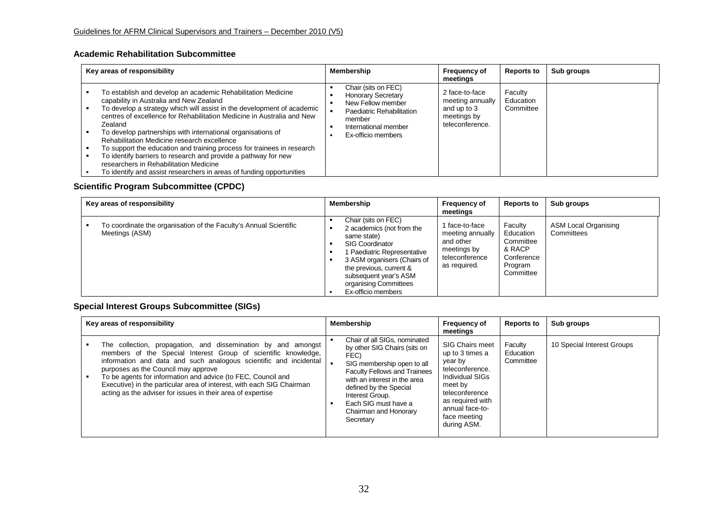## **Academic Rehabilitation Subcommittee**

| Key areas of responsibility                                                                                                                                                                                                                                                                                                                                                                                                                                                                                                                                                                                                                        | Membership                                                                                                                                                 | <b>Frequency of</b><br>meetings                                                     | <b>Reports to</b>                 | Sub groups |
|----------------------------------------------------------------------------------------------------------------------------------------------------------------------------------------------------------------------------------------------------------------------------------------------------------------------------------------------------------------------------------------------------------------------------------------------------------------------------------------------------------------------------------------------------------------------------------------------------------------------------------------------------|------------------------------------------------------------------------------------------------------------------------------------------------------------|-------------------------------------------------------------------------------------|-----------------------------------|------------|
| To establish and develop an academic Rehabilitation Medicine<br>capability in Australia and New Zealand<br>To develop a strategy which will assist in the development of academic<br>centres of excellence for Rehabilitation Medicine in Australia and New<br>Zealand<br>To develop partnerships with international organisations of<br>Rehabilitation Medicine research excellence<br>To support the education and training process for trainees in research<br>To identify barriers to research and provide a pathway for new<br>researchers in Rehabilitation Medicine<br>To identify and assist researchers in areas of funding opportunities | Chair (sits on FEC)<br><b>Honorary Secretary</b><br>New Fellow member<br>Paediatric Rehabilitation<br>member<br>International member<br>Ex-officio members | 2 face-to-face<br>meeting annually<br>and up to 3<br>meetings by<br>teleconference. | Faculty<br>Education<br>Committee |            |

## **Scientific Program Subcommittee (CPDC)**

| Key areas of responsibility                                                         | Membership                                                                                                                                                                                                                                                 | <b>Frequency of</b><br>meetings                                                                  | <b>Reports to</b>                                                                 | Sub groups                         |
|-------------------------------------------------------------------------------------|------------------------------------------------------------------------------------------------------------------------------------------------------------------------------------------------------------------------------------------------------------|--------------------------------------------------------------------------------------------------|-----------------------------------------------------------------------------------|------------------------------------|
| To coordinate the organisation of the Faculty's Annual Scientific<br>Meetings (ASM) | Chair (sits on FEC)<br>2 academics (not from the<br>same state)<br><b>SIG Coordinator</b><br>l Paediatric Representative<br>3 ASM organisers (Chairs of<br>the previous, current &<br>subsequent year's ASM<br>organising Committees<br>Ex-officio members | 1 face-to-face<br>meeting annually<br>and other<br>meetings by<br>teleconference<br>as required. | Faculty<br>Education<br>Committee<br>& RACP<br>Conference<br>Program<br>Committee | ASM Local Organising<br>Committees |

#### **Special Interest Groups Subcommittee (SIGs)**

| Key areas of responsibility         |                                                                                                                                                                                                                                                                                                                                                                                                              | <b>Membership</b>                                                                                                                                                                                                                                                             | <b>Frequency of</b><br>meetings                                                                                                                                                               | <b>Reports to</b>                 | Sub groups                 |
|-------------------------------------|--------------------------------------------------------------------------------------------------------------------------------------------------------------------------------------------------------------------------------------------------------------------------------------------------------------------------------------------------------------------------------------------------------------|-------------------------------------------------------------------------------------------------------------------------------------------------------------------------------------------------------------------------------------------------------------------------------|-----------------------------------------------------------------------------------------------------------------------------------------------------------------------------------------------|-----------------------------------|----------------------------|
| purposes as the Council may approve | The collection, propagation, and dissemination by and amongst<br>members of the Special Interest Group of scientific knowledge,<br>information and data and such analogous scientific and incidental<br>To be agents for information and advice (to FEC, Council and<br>Executive) in the particular area of interest, with each SIG Chairman<br>acting as the adviser for issues in their area of expertise | Chair of all SIGs, nominated<br>by other SIG Chairs (sits on<br>FEC)<br>SIG membership open to all<br>Faculty Fellows and Trainees<br>with an interest in the area<br>defined by the Special<br>Interest Group.<br>Each SIG must have a<br>Chairman and Honorary<br>Secretary | <b>SIG Chairs meet</b><br>up to 3 times a<br>year by<br>teleconference.<br>Individual SIGs<br>meet by<br>teleconference<br>as required with<br>annual face-to-<br>face meeting<br>during ASM. | Faculty<br>Education<br>Committee | 10 Special Interest Groups |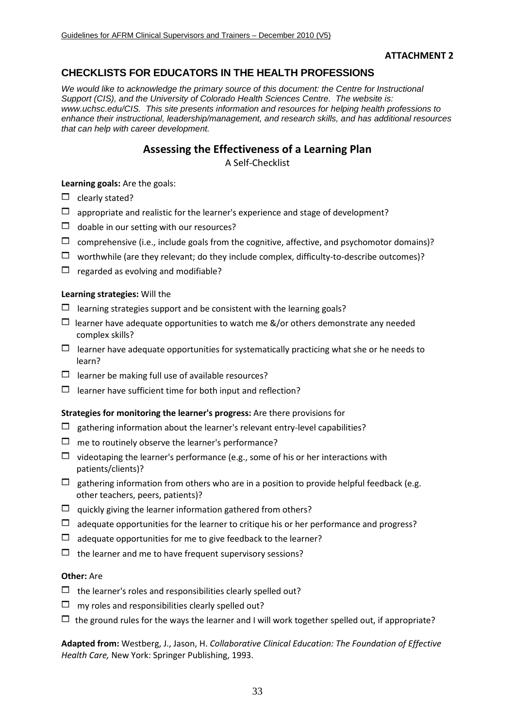#### **ATTACHMENT 2**

## **CHECKLISTS FOR EDUCATORS IN THE HEALTH PROFESSIONS**

*We would like to acknowledge the primary source of this document: the Centre for Instructional Support (CIS), and the University of Colorado Health Sciences Centre. The website is: www.uchsc.edu/CIS. This site presents information and resources for helping health professions to enhance their instructional, leadership/management, and research skills, and has additional resources that can help with career development.*

## **Assessing the Effectiveness of a Learning Plan**

A Self-Checklist

#### **Learning goals:** Are the goals:

- $\Box$  clearly stated?
- $\Box$  appropriate and realistic for the learner's experience and stage of development?
- $\Box$  doable in our setting with our resources?
- $\Box$  comprehensive (i.e., include goals from the cognitive, affective, and psychomotor domains)?
- $\Box$  worthwhile (are they relevant; do they include complex, difficulty-to-describe outcomes)?
- $\Box$  regarded as evolving and modifiable?

#### **Learning strategies:** Will the

- $\Box$  learning strategies support and be consistent with the learning goals?
- $\Box$  learner have adequate opportunities to watch me &/or others demonstrate any needed complex skills?
- $\Box$  learner have adequate opportunities for systematically practicing what she or he needs to learn?
- $\Box$  learner be making full use of available resources?
- $\Box$  learner have sufficient time for both input and reflection?

#### **Strategies for monitoring the learner's progress:** Are there provisions for

- $\Box$  gathering information about the learner's relevant entry-level capabilities?
- $\Box$  me to routinely observe the learner's performance?
- $\Box$  videotaping the learner's performance (e.g., some of his or her interactions with patients/clients)?
- $\Box$  gathering information from others who are in a position to provide helpful feedback (e.g. other teachers, peers, patients)?
- $\Box$  quickly giving the learner information gathered from others?
- $\Box$  adequate opportunities for the learner to critique his or her performance and progress?
- $\Box$  adequate opportunities for me to give feedback to the learner?
- $\Box$  the learner and me to have frequent supervisory sessions?

#### **Other:** Are

- $\Box$  the learner's roles and responsibilities clearly spelled out?
- $\Box$  my roles and responsibilities clearly spelled out?
- $\Box$  the ground rules for the ways the learner and I will work together spelled out, if appropriate?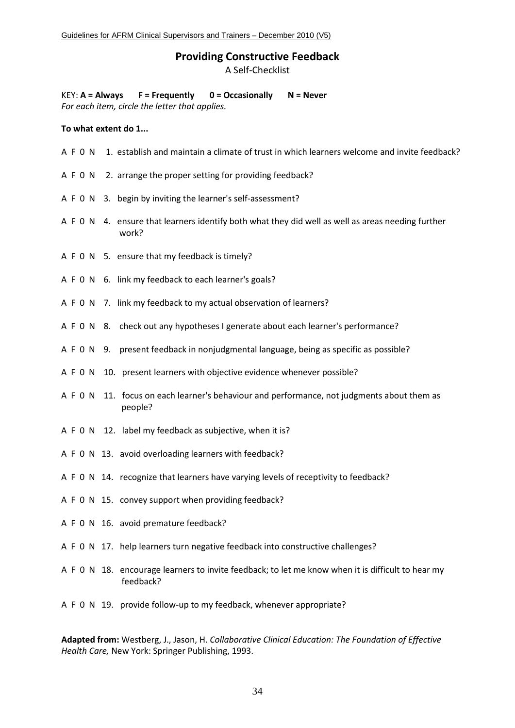## **Providing Constructive Feedback**

A Self-Checklist

KEY: **A = Always F = Frequently 0 = Occasionally N = Never** *For each item, circle the letter that applies.*

#### **To what extent do 1...**

| A F 0 N 1. establish and maintain a climate of trust in which learners welcome and invite feedback? |  |
|-----------------------------------------------------------------------------------------------------|--|
|-----------------------------------------------------------------------------------------------------|--|

- A F 0 N 2. arrange the proper setting for providing feedback?
- A F 0 N 3. begin by inviting the learner's self-assessment?
- A F 0 N 4. ensure that learners identify both what they did well as well as areas needing further work?
- A F 0 N 5. ensure that my feedback is timely?
- A F 0 N 6. link my feedback to each learner's goals?
- A F 0 N 7. link my feedback to my actual observation of learners?
- A F 0 N 8. check out any hypotheses I generate about each learner's performance?
- A F 0 N 9. present feedback in nonjudgmental language, being as specific as possible?
- A F 0 N 10. present learners with objective evidence whenever possible?
- A F 0 N 11. focus on each learner's behaviour and performance, not judgments about them as people?
- A F 0 N 12. label my feedback as subjective, when it is?
- A F 0 N 13. avoid overloading learners with feedback?
- A F 0 N 14. recognize that learners have varying levels of receptivity to feedback?
- A F 0 N 15. convey support when providing feedback?
- A F 0 N 16. avoid premature feedback?
- A F 0 N 17. help learners turn negative feedback into constructive challenges?
- A F 0 N 18. encourage learners to invite feedback; to let me know when it is difficult to hear my feedback?
- A F 0 N 19. provide follow-up to my feedback, whenever appropriate?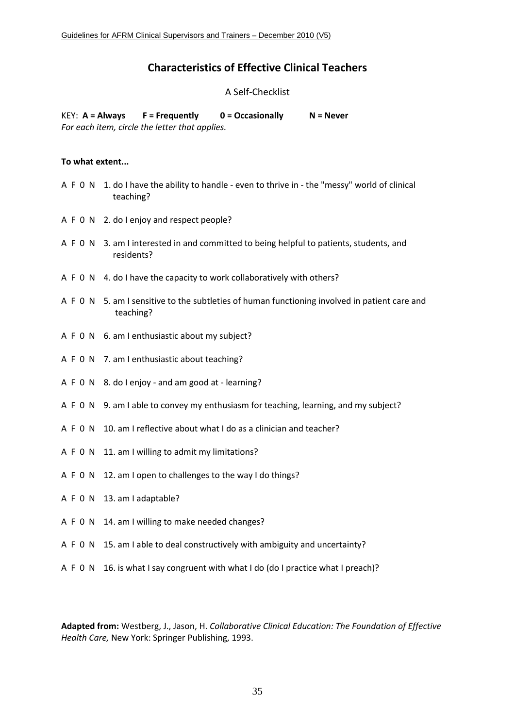## **Characteristics of Effective Clinical Teachers**

## A Self-Checklist

KEY: **A = Always F = Frequently 0 = Occasionally N = Never** *For each item, circle the letter that applies.*

#### **To what extent...**

- A F 0 N 1. do I have the ability to handle even to thrive in the "messy" world of clinical teaching?
- A F 0 N 2. do I enjoy and respect people?
- A F 0 N 3. am I interested in and committed to being helpful to patients, students, and residents?
- A F 0 N 4. do I have the capacity to work collaboratively with others?
- A F 0 N 5. am I sensitive to the subtleties of human functioning involved in patient care and teaching?
- A F 0 N 6. am I enthusiastic about my subject?
- A F 0 N 7. am I enthusiastic about teaching?
- A F 0 N 8. do I enjoy and am good at learning?
- A F 0 N 9. am I able to convey my enthusiasm for teaching, learning, and my subject?
- A F 0 N 10. am I reflective about what I do as a clinician and teacher?
- A F 0 N 11. am I willing to admit my limitations?
- A F 0 N 12. am I open to challenges to the way I do things?
- A F 0 N 13. am I adaptable?
- A F 0 N 14. am I willing to make needed changes?
- A F 0 N 15. am I able to deal constructively with ambiguity and uncertainty?
- A F 0 N 16. is what I say congruent with what I do (do I practice what I preach)?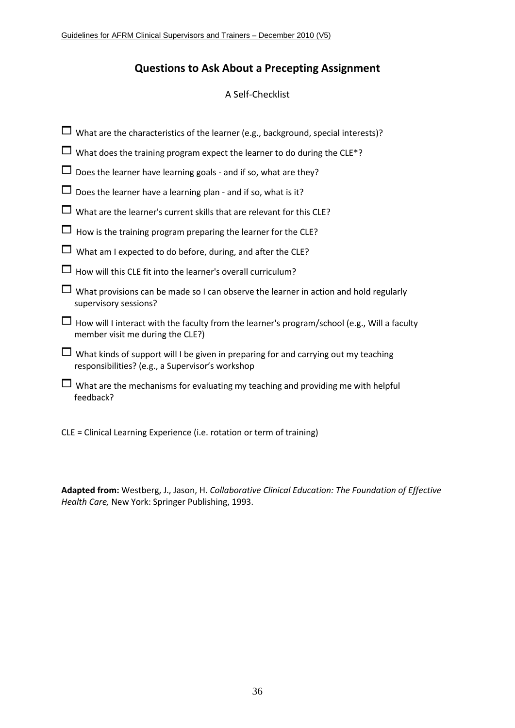## **Questions to Ask About a Precepting Assignment**

## A Self-Checklist

- $\Box$  What are the characteristics of the learner (e.g., background, special interests)?
- $\Box$  What does the training program expect the learner to do during the CLE<sup>\*</sup>?
- $\square$  Does the learner have learning goals and if so, what are they?
- $\square$  Does the learner have a learning plan and if so, what is it?
- $\Box$  What are the learner's current skills that are relevant for this CLE?
- $\Box$  How is the training program preparing the learner for the CLE?
- $\Box$  What am I expected to do before, during, and after the CLE?
- $\Box$  How will this CLE fit into the learner's overall curriculum?
- $\Box$  What provisions can be made so I can observe the learner in action and hold regularly supervisory sessions?
- $\Box$  How will I interact with the faculty from the learner's program/school (e.g., Will a faculty member visit me during the CLE?)
- $\Box$  What kinds of support will I be given in preparing for and carrying out my teaching responsibilities? (e.g., a Supervisor's workshop
- $\Box$  What are the mechanisms for evaluating my teaching and providing me with helpful feedback?
- CLE = Clinical Learning Experience (i.e. rotation or term of training)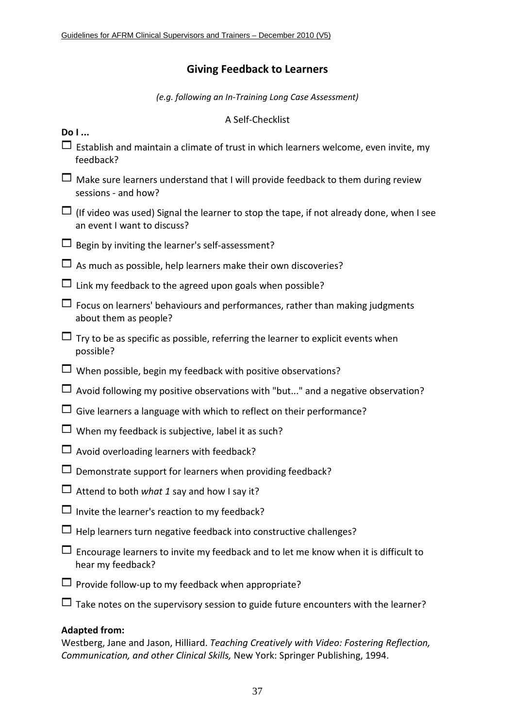## **Giving Feedback to Learners**

*(e.g. following an In-Training Long Case Assessment)*

## A Self-Checklist

**Do I ...**

- $\Box$  Establish and maintain a climate of trust in which learners welcome, even invite, my feedback?
- $\Box$  Make sure learners understand that I will provide feedback to them during review sessions - and how?
- $\Box$  (If video was used) Signal the learner to stop the tape, if not already done, when I see an event I want to discuss?
- $\Box$  Begin by inviting the learner's self-assessment?
- $\Box$  As much as possible, help learners make their own discoveries?
- $\Box$  Link my feedback to the agreed upon goals when possible?
- $\Box$  Focus on learners' behaviours and performances, rather than making judgments about them as people?
- $\Box$  Try to be as specific as possible, referring the learner to explicit events when possible?
- $\Box$  When possible, begin my feedback with positive observations?
- $\Box$  Avoid following my positive observations with "but..." and a negative observation?
- $\Box$  Give learners a language with which to reflect on their performance?
- $\Box$  When my feedback is subjective, label it as such?
- $\Box$  Avoid overloading learners with feedback?
- $\Box$  Demonstrate support for learners when providing feedback?
- $\Box$  Attend to both *what 1* say and how I say it?
- $\Box$  Invite the learner's reaction to my feedback?
- $\Box$  Help learners turn negative feedback into constructive challenges?
- $\Box$  Encourage learners to invite my feedback and to let me know when it is difficult to hear my feedback?
- $\Box$  Provide follow-up to my feedback when appropriate?
- $\Box$  Take notes on the supervisory session to guide future encounters with the learner?

## **Adapted from:**

Westberg, Jane and Jason, Hilliard. *Teaching Creatively with Video: Fostering Reflection, Communication, and other Clinical Skills,* New York: Springer Publishing, 1994.